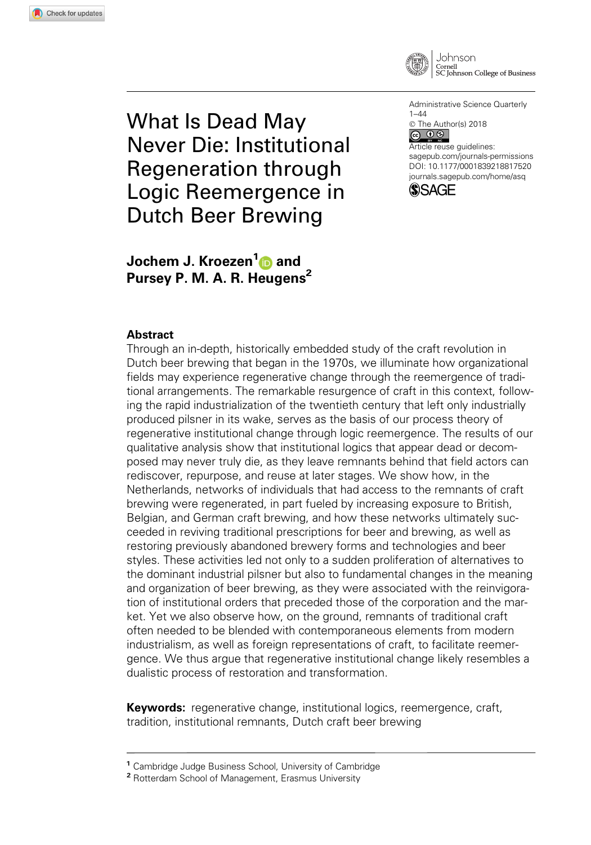

Administrative Science Quarterly 1–44

# What Is Dead May Never Die: Institutional Regeneration through Logic Reemergence in Dutch Beer Brewing

Jochem J. Kroezen<sup>1</sup> and Pursey P. M. A. R. Heugens<sup>2</sup>

# **Abstract**

Through an in-depth, historically embedded study of the craft revolution in Dutch beer brewing that began in the 1970s, we illuminate how organizational fields may experience regenerative change through the reemergence of traditional arrangements. The remarkable resurgence of craft in this context, following the rapid industrialization of the twentieth century that left only industrially produced pilsner in its wake, serves as the basis of our process theory of regenerative institutional change through logic reemergence. The results of our qualitative analysis show that institutional logics that appear dead or decomposed may never truly die, as they leave remnants behind that field actors can rediscover, repurpose, and reuse at later stages. We show how, in the Netherlands, networks of individuals that had access to the remnants of craft brewing were regenerated, in part fueled by increasing exposure to British, Belgian, and German craft brewing, and how these networks ultimately succeeded in reviving traditional prescriptions for beer and brewing, as well as restoring previously abandoned brewery forms and technologies and beer styles. These activities led not only to a sudden proliferation of alternatives to the dominant industrial pilsner but also to fundamental changes in the meaning and organization of beer brewing, as they were associated with the reinvigoration of institutional orders that preceded those of the corporation and the market. Yet we also observe how, on the ground, remnants of traditional craft often needed to be blended with contemporaneous elements from modern industrialism, as well as foreign representations of craft, to facilitate reemergence. We thus argue that regenerative institutional change likely resembles a dualistic process of restoration and transformation.

Keywords: regenerative change, institutional logics, reemergence, craft, tradition, institutional remnants, Dutch craft beer brewing

© The Author(s) 2018

Article reuse guidelines: [sagepub.com/journals-permissions](us.sagepub.com/en-us/journals-permissions) [DOI: 10.1177/0001839218817520](https://doi.org/10.1177/0001839218817520) <journals.sagepub.com/home/asq>



<sup>&</sup>lt;sup>1</sup> Cambridge Judge Business School, University of Cambridge

<sup>2</sup> Rotterdam School of Management, Erasmus University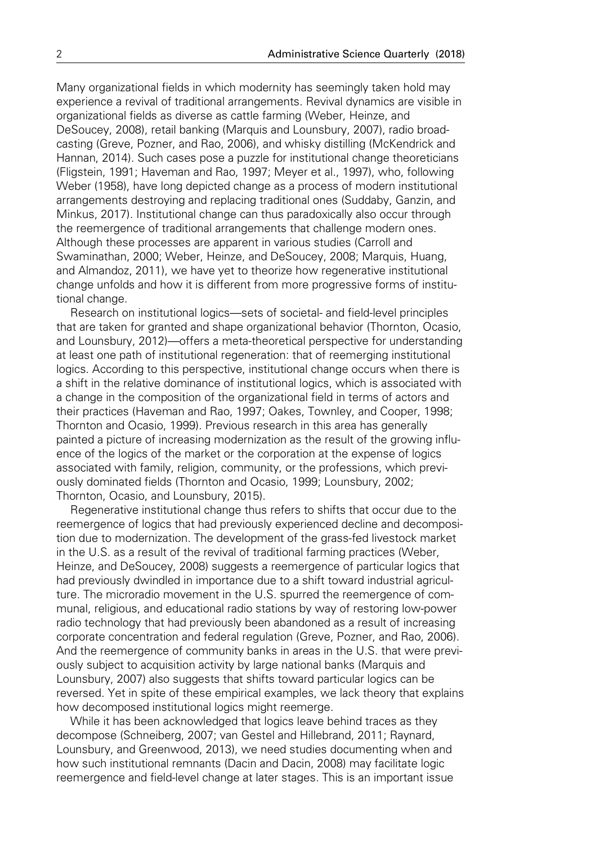Many organizational fields in which modernity has seemingly taken hold may experience a revival of traditional arrangements. Revival dynamics are visible in organizational fields as diverse as cattle farming (Weber, Heinze, and DeSoucey, 2008), retail banking (Marquis and Lounsbury, 2007), radio broadcasting (Greve, Pozner, and Rao, 2006), and whisky distilling (McKendrick and Hannan, 2014). Such cases pose a puzzle for institutional change theoreticians (Fligstein, 1991; Haveman and Rao, 1997; Meyer et al., 1997), who, following Weber (1958), have long depicted change as a process of modern institutional arrangements destroying and replacing traditional ones (Suddaby, Ganzin, and Minkus, 2017). Institutional change can thus paradoxically also occur through the reemergence of traditional arrangements that challenge modern ones. Although these processes are apparent in various studies (Carroll and Swaminathan, 2000; Weber, Heinze, and DeSoucey, 2008; Marquis, Huang, and Almandoz, 2011), we have yet to theorize how regenerative institutional change unfolds and how it is different from more progressive forms of institutional change.

Research on institutional logics—sets of societal- and field-level principles that are taken for granted and shape organizational behavior (Thornton, Ocasio, and Lounsbury, 2012)—offers a meta-theoretical perspective for understanding at least one path of institutional regeneration: that of reemerging institutional logics. According to this perspective, institutional change occurs when there is a shift in the relative dominance of institutional logics, which is associated with a change in the composition of the organizational field in terms of actors and their practices (Haveman and Rao, 1997; Oakes, Townley, and Cooper, 1998; Thornton and Ocasio, 1999). Previous research in this area has generally painted a picture of increasing modernization as the result of the growing influence of the logics of the market or the corporation at the expense of logics associated with family, religion, community, or the professions, which previously dominated fields (Thornton and Ocasio, 1999; Lounsbury, 2002; Thornton, Ocasio, and Lounsbury, 2015).

Regenerative institutional change thus refers to shifts that occur due to the reemergence of logics that had previously experienced decline and decomposition due to modernization. The development of the grass-fed livestock market in the U.S. as a result of the revival of traditional farming practices (Weber, Heinze, and DeSoucey, 2008) suggests a reemergence of particular logics that had previously dwindled in importance due to a shift toward industrial agriculture. The microradio movement in the U.S. spurred the reemergence of communal, religious, and educational radio stations by way of restoring low-power radio technology that had previously been abandoned as a result of increasing corporate concentration and federal regulation (Greve, Pozner, and Rao, 2006). And the reemergence of community banks in areas in the U.S. that were previously subject to acquisition activity by large national banks (Marquis and Lounsbury, 2007) also suggests that shifts toward particular logics can be reversed. Yet in spite of these empirical examples, we lack theory that explains how decomposed institutional logics might reemerge.

While it has been acknowledged that logics leave behind traces as they decompose (Schneiberg, 2007; van Gestel and Hillebrand, 2011; Raynard, Lounsbury, and Greenwood, 2013), we need studies documenting when and how such institutional remnants (Dacin and Dacin, 2008) may facilitate logic reemergence and field-level change at later stages. This is an important issue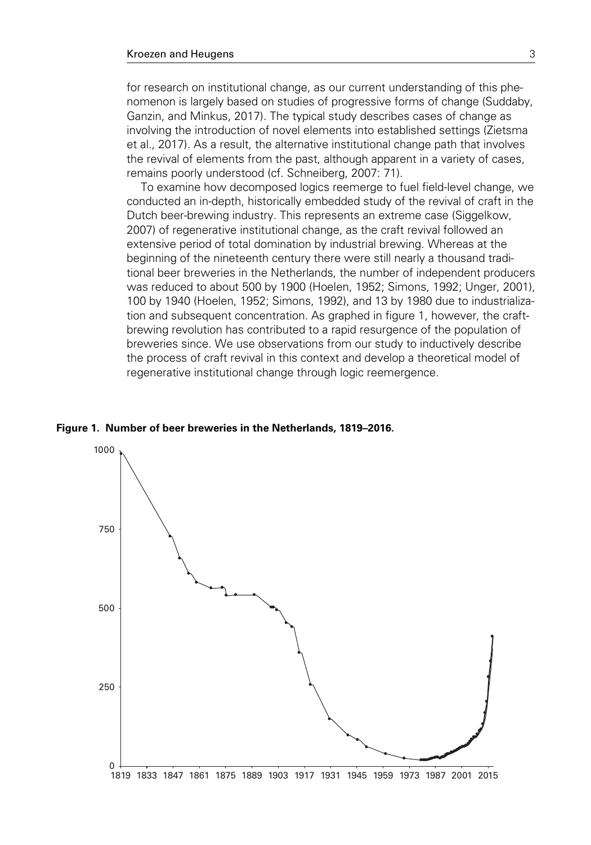for research on institutional change, as our current understanding of this phenomenon is largely based on studies of progressive forms of change (Suddaby, Ganzin, and Minkus, 2017). The typical study describes cases of change as involving the introduction of novel elements into established settings (Zietsma et al., 2017). As a result, the alternative institutional change path that involves the revival of elements from the past, although apparent in a variety of cases, remains poorly understood (cf. Schneiberg, 2007: 71).

To examine how decomposed logics reemerge to fuel field-level change, we conducted an in-depth, historically embedded study of the revival of craft in the Dutch beer-brewing industry. This represents an extreme case (Siggelkow, 2007) of regenerative institutional change, as the craft revival followed an extensive period of total domination by industrial brewing. Whereas at the beginning of the nineteenth century there were still nearly a thousand traditional beer breweries in the Netherlands, the number of independent producers was reduced to about 500 by 1900 (Hoelen, 1952; Simons, 1992; Unger, 2001), 100 by 1940 (Hoelen, 1952; Simons, 1992), and 13 by 1980 due to industrialization and subsequent concentration. As graphed in figure 1, however, the craftbrewing revolution has contributed to a rapid resurgence of the population of breweries since. We use observations from our study to inductively describe the process of craft revival in this context and develop a theoretical model of regenerative institutional change through logic reemergence.

Figure 1. Number of beer breweries in the Netherlands, 1819–2016.

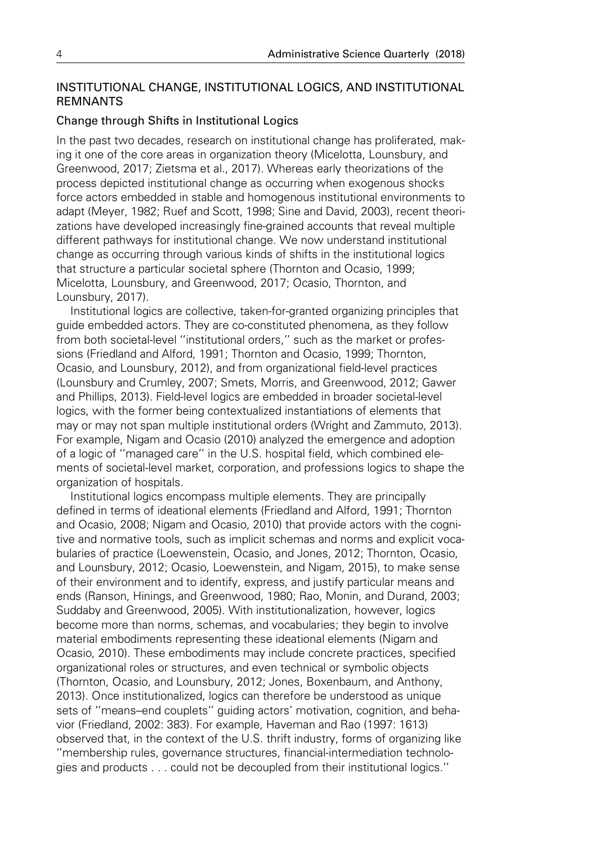# INSTITUTIONAL CHANGE, INSTITUTIONAL LOGICS, AND INSTITUTIONAL REMNANTS

### Change through Shifts in Institutional Logics

In the past two decades, research on institutional change has proliferated, making it one of the core areas in organization theory (Micelotta, Lounsbury, and Greenwood, 2017; Zietsma et al., 2017). Whereas early theorizations of the process depicted institutional change as occurring when exogenous shocks force actors embedded in stable and homogenous institutional environments to adapt (Meyer, 1982; Ruef and Scott, 1998; Sine and David, 2003), recent theorizations have developed increasingly fine-grained accounts that reveal multiple different pathways for institutional change. We now understand institutional change as occurring through various kinds of shifts in the institutional logics that structure a particular societal sphere (Thornton and Ocasio, 1999; Micelotta, Lounsbury, and Greenwood, 2017; Ocasio, Thornton, and Lounsbury, 2017).

Institutional logics are collective, taken-for-granted organizing principles that guide embedded actors. They are co-constituted phenomena, as they follow from both societal-level "institutional orders," such as the market or professions (Friedland and Alford, 1991; Thornton and Ocasio, 1999; Thornton, Ocasio, and Lounsbury, 2012), and from organizational field-level practices (Lounsbury and Crumley, 2007; Smets, Morris, and Greenwood, 2012; Gawer and Phillips, 2013). Field-level logics are embedded in broader societal-level logics, with the former being contextualized instantiations of elements that may or may not span multiple institutional orders (Wright and Zammuto, 2013). For example, Nigam and Ocasio (2010) analyzed the emergence and adoption of a logic of ''managed care'' in the U.S. hospital field, which combined elements of societal-level market, corporation, and professions logics to shape the organization of hospitals.

Institutional logics encompass multiple elements. They are principally defined in terms of ideational elements (Friedland and Alford, 1991; Thornton and Ocasio, 2008; Nigam and Ocasio, 2010) that provide actors with the cognitive and normative tools, such as implicit schemas and norms and explicit vocabularies of practice (Loewenstein, Ocasio, and Jones, 2012; Thornton, Ocasio, and Lounsbury, 2012; Ocasio, Loewenstein, and Nigam, 2015), to make sense of their environment and to identify, express, and justify particular means and ends (Ranson, Hinings, and Greenwood, 1980; Rao, Monin, and Durand, 2003; Suddaby and Greenwood, 2005). With institutionalization, however, logics become more than norms, schemas, and vocabularies; they begin to involve material embodiments representing these ideational elements (Nigam and Ocasio, 2010). These embodiments may include concrete practices, specified organizational roles or structures, and even technical or symbolic objects (Thornton, Ocasio, and Lounsbury, 2012; Jones, Boxenbaum, and Anthony, 2013). Once institutionalized, logics can therefore be understood as unique sets of ''means–end couplets'' guiding actors' motivation, cognition, and behavior (Friedland, 2002: 383). For example, Haveman and Rao (1997: 1613) observed that, in the context of the U.S. thrift industry, forms of organizing like ''membership rules, governance structures, financial-intermediation technologies and products . . . could not be decoupled from their institutional logics.''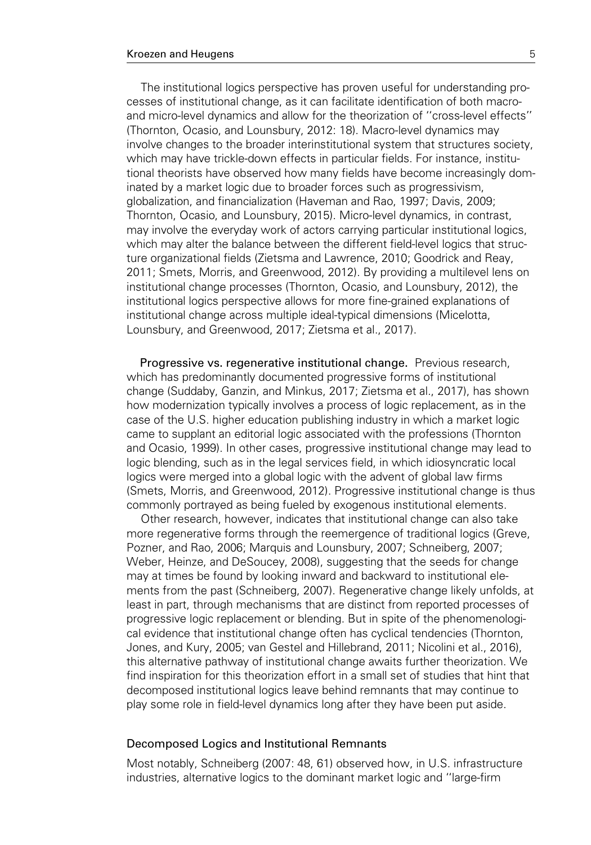The institutional logics perspective has proven useful for understanding processes of institutional change, as it can facilitate identification of both macroand micro-level dynamics and allow for the theorization of ''cross-level effects'' (Thornton, Ocasio, and Lounsbury, 2012: 18). Macro-level dynamics may involve changes to the broader interinstitutional system that structures society, which may have trickle-down effects in particular fields. For instance, institutional theorists have observed how many fields have become increasingly dominated by a market logic due to broader forces such as progressivism, globalization, and financialization (Haveman and Rao, 1997; Davis, 2009; Thornton, Ocasio, and Lounsbury, 2015). Micro-level dynamics, in contrast, may involve the everyday work of actors carrying particular institutional logics, which may alter the balance between the different field-level logics that structure organizational fields (Zietsma and Lawrence, 2010; Goodrick and Reay, 2011; Smets, Morris, and Greenwood, 2012). By providing a multilevel lens on institutional change processes (Thornton, Ocasio, and Lounsbury, 2012), the institutional logics perspective allows for more fine-grained explanations of institutional change across multiple ideal-typical dimensions (Micelotta, Lounsbury, and Greenwood, 2017; Zietsma et al., 2017).

Progressive vs. regenerative institutional change. Previous research, which has predominantly documented progressive forms of institutional change (Suddaby, Ganzin, and Minkus, 2017; Zietsma et al., 2017), has shown how modernization typically involves a process of logic replacement, as in the case of the U.S. higher education publishing industry in which a market logic came to supplant an editorial logic associated with the professions (Thornton and Ocasio, 1999). In other cases, progressive institutional change may lead to logic blending, such as in the legal services field, in which idiosyncratic local logics were merged into a global logic with the advent of global law firms (Smets, Morris, and Greenwood, 2012). Progressive institutional change is thus commonly portrayed as being fueled by exogenous institutional elements.

Other research, however, indicates that institutional change can also take more regenerative forms through the reemergence of traditional logics (Greve, Pozner, and Rao, 2006; Marquis and Lounsbury, 2007; Schneiberg, 2007; Weber, Heinze, and DeSoucey, 2008), suggesting that the seeds for change may at times be found by looking inward and backward to institutional elements from the past (Schneiberg, 2007). Regenerative change likely unfolds, at least in part, through mechanisms that are distinct from reported processes of progressive logic replacement or blending. But in spite of the phenomenological evidence that institutional change often has cyclical tendencies (Thornton, Jones, and Kury, 2005; van Gestel and Hillebrand, 2011; Nicolini et al., 2016), this alternative pathway of institutional change awaits further theorization. We find inspiration for this theorization effort in a small set of studies that hint that decomposed institutional logics leave behind remnants that may continue to play some role in field-level dynamics long after they have been put aside.

# Decomposed Logics and Institutional Remnants

Most notably, Schneiberg (2007: 48, 61) observed how, in U.S. infrastructure industries, alternative logics to the dominant market logic and ''large-firm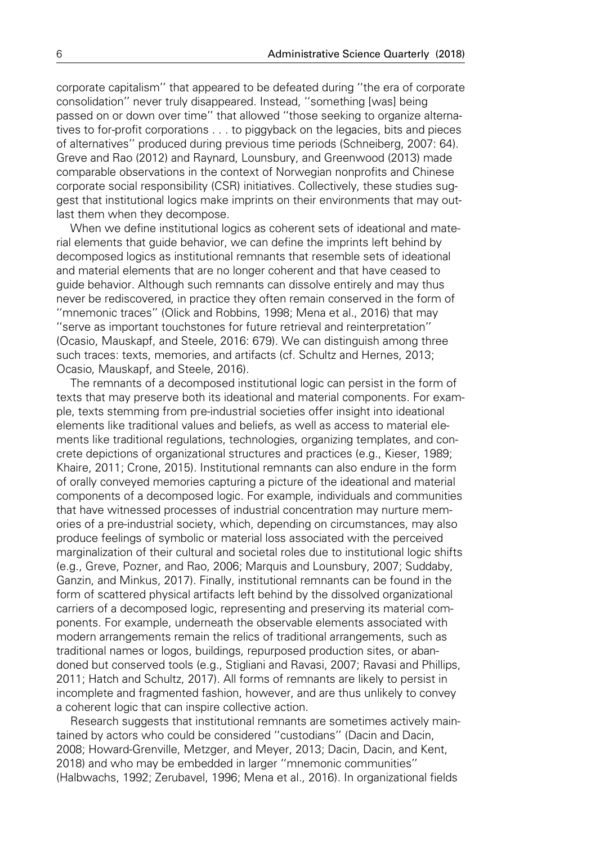corporate capitalism'' that appeared to be defeated during ''the era of corporate consolidation'' never truly disappeared. Instead, ''something [was] being passed on or down over time'' that allowed ''those seeking to organize alternatives to for-profit corporations . . . to piggyback on the legacies, bits and pieces of alternatives'' produced during previous time periods (Schneiberg, 2007: 64). Greve and Rao (2012) and Raynard, Lounsbury, and Greenwood (2013) made comparable observations in the context of Norwegian nonprofits and Chinese corporate social responsibility (CSR) initiatives. Collectively, these studies suggest that institutional logics make imprints on their environments that may outlast them when they decompose.

When we define institutional logics as coherent sets of ideational and material elements that guide behavior, we can define the imprints left behind by decomposed logics as institutional remnants that resemble sets of ideational and material elements that are no longer coherent and that have ceased to guide behavior. Although such remnants can dissolve entirely and may thus never be rediscovered, in practice they often remain conserved in the form of ''mnemonic traces'' (Olick and Robbins, 1998; Mena et al., 2016) that may ''serve as important touchstones for future retrieval and reinterpretation'' (Ocasio, Mauskapf, and Steele, 2016: 679). We can distinguish among three such traces: texts, memories, and artifacts (cf. Schultz and Hernes, 2013; Ocasio, Mauskapf, and Steele, 2016).

The remnants of a decomposed institutional logic can persist in the form of texts that may preserve both its ideational and material components. For example, texts stemming from pre-industrial societies offer insight into ideational elements like traditional values and beliefs, as well as access to material elements like traditional regulations, technologies, organizing templates, and concrete depictions of organizational structures and practices (e.g., Kieser, 1989; Khaire, 2011; Crone, 2015). Institutional remnants can also endure in the form of orally conveyed memories capturing a picture of the ideational and material components of a decomposed logic. For example, individuals and communities that have witnessed processes of industrial concentration may nurture memories of a pre-industrial society, which, depending on circumstances, may also produce feelings of symbolic or material loss associated with the perceived marginalization of their cultural and societal roles due to institutional logic shifts (e.g., Greve, Pozner, and Rao, 2006; Marquis and Lounsbury, 2007; Suddaby, Ganzin, and Minkus, 2017). Finally, institutional remnants can be found in the form of scattered physical artifacts left behind by the dissolved organizational carriers of a decomposed logic, representing and preserving its material components. For example, underneath the observable elements associated with modern arrangements remain the relics of traditional arrangements, such as traditional names or logos, buildings, repurposed production sites, or abandoned but conserved tools (e.g., Stigliani and Ravasi, 2007; Ravasi and Phillips, 2011; Hatch and Schultz, 2017). All forms of remnants are likely to persist in incomplete and fragmented fashion, however, and are thus unlikely to convey a coherent logic that can inspire collective action.

Research suggests that institutional remnants are sometimes actively maintained by actors who could be considered ''custodians'' (Dacin and Dacin, 2008; Howard-Grenville, Metzger, and Meyer, 2013; Dacin, Dacin, and Kent, 2018) and who may be embedded in larger ''mnemonic communities'' (Halbwachs, 1992; Zerubavel, 1996; Mena et al., 2016). In organizational fields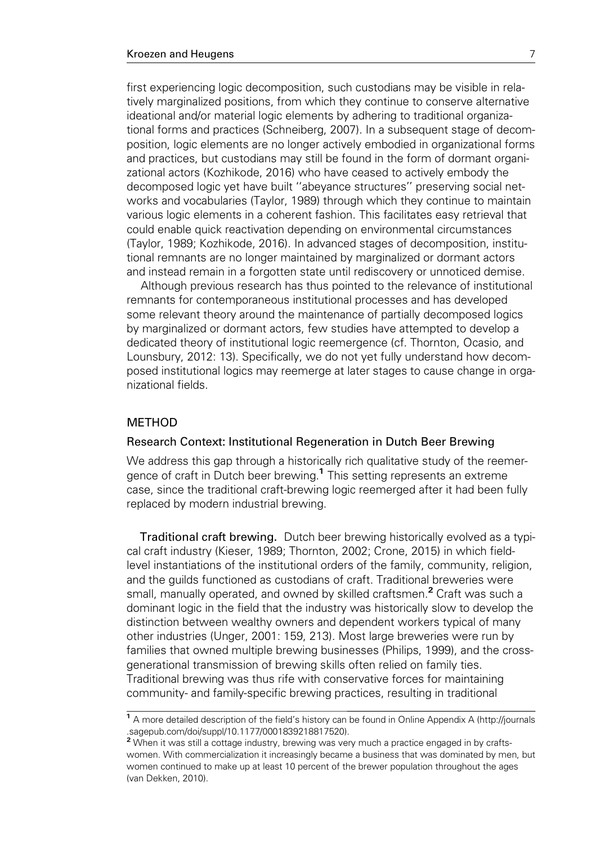first experiencing logic decomposition, such custodians may be visible in relatively marginalized positions, from which they continue to conserve alternative ideational and/or material logic elements by adhering to traditional organizational forms and practices (Schneiberg, 2007). In a subsequent stage of decomposition, logic elements are no longer actively embodied in organizational forms and practices, but custodians may still be found in the form of dormant organizational actors (Kozhikode, 2016) who have ceased to actively embody the decomposed logic yet have built ''abeyance structures'' preserving social networks and vocabularies (Taylor, 1989) through which they continue to maintain various logic elements in a coherent fashion. This facilitates easy retrieval that could enable quick reactivation depending on environmental circumstances (Taylor, 1989; Kozhikode, 2016). In advanced stages of decomposition, institutional remnants are no longer maintained by marginalized or dormant actors and instead remain in a forgotten state until rediscovery or unnoticed demise.

Although previous research has thus pointed to the relevance of institutional remnants for contemporaneous institutional processes and has developed some relevant theory around the maintenance of partially decomposed logics by marginalized or dormant actors, few studies have attempted to develop a dedicated theory of institutional logic reemergence (cf. Thornton, Ocasio, and Lounsbury, 2012: 13). Specifically, we do not yet fully understand how decomposed institutional logics may reemerge at later stages to cause change in organizational fields.

# METHOD

# Research Context: Institutional Regeneration in Dutch Beer Brewing

We address this gap through a historically rich qualitative study of the reemergence of craft in Dutch beer brewing.<sup>1</sup> This setting represents an extreme case, since the traditional craft-brewing logic reemerged after it had been fully replaced by modern industrial brewing.

Traditional craft brewing. Dutch beer brewing historically evolved as a typical craft industry (Kieser, 1989; Thornton, 2002; Crone, 2015) in which fieldlevel instantiations of the institutional orders of the family, community, religion, and the guilds functioned as custodians of craft. Traditional breweries were small, manually operated, and owned by skilled craftsmen.<sup>2</sup> Craft was such a dominant logic in the field that the industry was historically slow to develop the distinction between wealthy owners and dependent workers typical of many other industries (Unger, 2001: 159, 213). Most large breweries were run by families that owned multiple brewing businesses (Philips, 1999), and the crossgenerational transmission of brewing skills often relied on family ties. Traditional brewing was thus rife with conservative forces for maintaining community- and family-specific brewing practices, resulting in traditional

<sup>1</sup> A more detailed description of the field's history can be found in Online Appendix A [\(http://journals](Undefined namespace prefix) [.sagepub.com/doi/suppl/10.1177/0001839218817520\)](Undefined namespace prefix).

<sup>&</sup>lt;sup>2</sup> When it was still a cottage industry, brewing was very much a practice engaged in by craftswomen. With commercialization it increasingly became a business that was dominated by men, but women continued to make up at least 10 percent of the brewer population throughout the ages (van Dekken, 2010).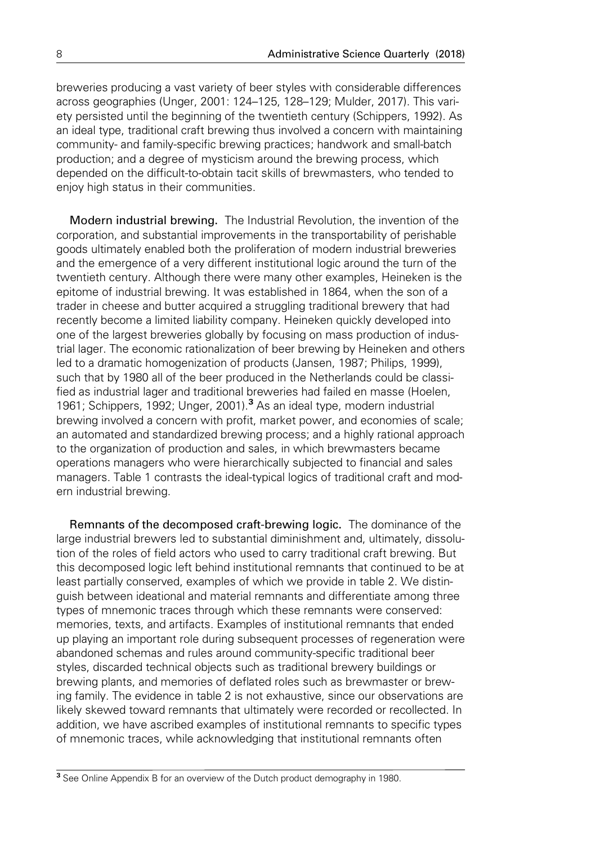breweries producing a vast variety of beer styles with considerable differences across geographies (Unger, 2001: 124–125, 128–129; Mulder, 2017). This variety persisted until the beginning of the twentieth century (Schippers, 1992). As an ideal type, traditional craft brewing thus involved a concern with maintaining community- and family-specific brewing practices; handwork and small-batch production; and a degree of mysticism around the brewing process, which depended on the difficult-to-obtain tacit skills of brewmasters, who tended to enjoy high status in their communities.

Modern industrial brewing. The Industrial Revolution, the invention of the corporation, and substantial improvements in the transportability of perishable goods ultimately enabled both the proliferation of modern industrial breweries and the emergence of a very different institutional logic around the turn of the twentieth century. Although there were many other examples, Heineken is the epitome of industrial brewing. It was established in 1864, when the son of a trader in cheese and butter acquired a struggling traditional brewery that had recently become a limited liability company. Heineken quickly developed into one of the largest breweries globally by focusing on mass production of industrial lager. The economic rationalization of beer brewing by Heineken and others led to a dramatic homogenization of products (Jansen, 1987; Philips, 1999), such that by 1980 all of the beer produced in the Netherlands could be classified as industrial lager and traditional breweries had failed en masse (Hoelen, 1961; Schippers, 1992; Unger, 2001).<sup>3</sup> As an ideal type, modern industrial brewing involved a concern with profit, market power, and economies of scale; an automated and standardized brewing process; and a highly rational approach to the organization of production and sales, in which brewmasters became operations managers who were hierarchically subjected to financial and sales managers. Table 1 contrasts the ideal-typical logics of traditional craft and modern industrial brewing.

Remnants of the decomposed craft-brewing logic. The dominance of the large industrial brewers led to substantial diminishment and, ultimately, dissolution of the roles of field actors who used to carry traditional craft brewing. But this decomposed logic left behind institutional remnants that continued to be at least partially conserved, examples of which we provide in table 2. We distinguish between ideational and material remnants and differentiate among three types of mnemonic traces through which these remnants were conserved: memories, texts, and artifacts. Examples of institutional remnants that ended up playing an important role during subsequent processes of regeneration were abandoned schemas and rules around community-specific traditional beer styles, discarded technical objects such as traditional brewery buildings or brewing plants, and memories of deflated roles such as brewmaster or brewing family. The evidence in table 2 is not exhaustive, since our observations are likely skewed toward remnants that ultimately were recorded or recollected. In addition, we have ascribed examples of institutional remnants to specific types of mnemonic traces, while acknowledging that institutional remnants often

<sup>&</sup>lt;sup>3</sup> See Online Appendix B for an overview of the Dutch product demography in 1980.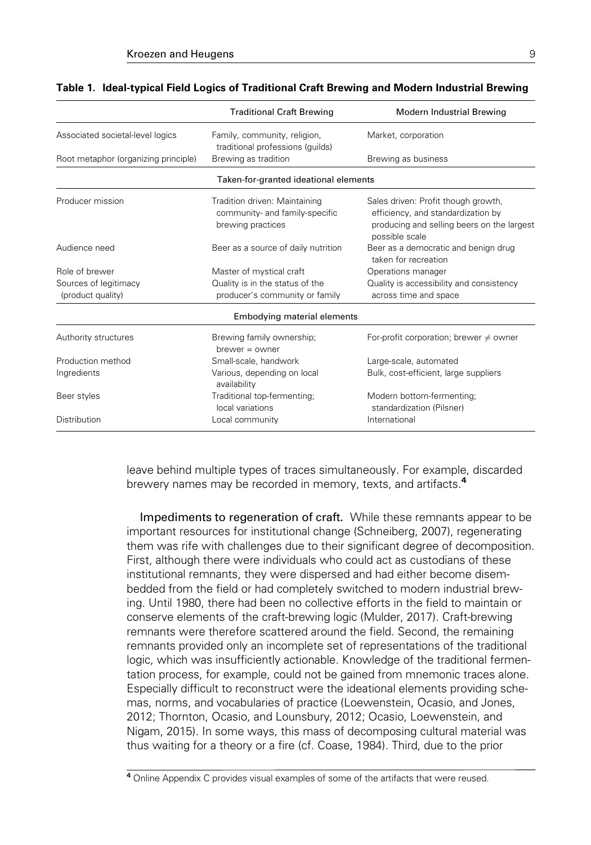|                                            | <b>Traditional Craft Brewing</b>                                                     | <b>Modern Industrial Brewing</b>                                                                                                          |  |  |  |
|--------------------------------------------|--------------------------------------------------------------------------------------|-------------------------------------------------------------------------------------------------------------------------------------------|--|--|--|
| Associated societal-level logics           | Family, community, religion,<br>traditional professions (guilds)                     | Market, corporation                                                                                                                       |  |  |  |
| Root metaphor (organizing principle)       | Brewing as tradition                                                                 | Brewing as business                                                                                                                       |  |  |  |
| Taken-for-granted ideational elements      |                                                                                      |                                                                                                                                           |  |  |  |
| Producer mission                           | Tradition driven: Maintaining<br>community- and family-specific<br>brewing practices | Sales driven: Profit though growth,<br>efficiency, and standardization by<br>producing and selling beers on the largest<br>possible scale |  |  |  |
| Audience need                              | Beer as a source of daily nutrition                                                  | Beer as a democratic and benign drug<br>taken for recreation                                                                              |  |  |  |
| Role of brewer                             | Master of mystical craft                                                             | Operations manager                                                                                                                        |  |  |  |
| Sources of legitimacy<br>(product quality) | Quality is in the status of the<br>producer's community or family                    | Quality is accessibility and consistency<br>across time and space                                                                         |  |  |  |
|                                            | Embodying material elements                                                          |                                                                                                                                           |  |  |  |
| Authority structures                       | Brewing family ownership;<br>$b$ rewer = owner                                       | For-profit corporation; brewer $\neq$ owner                                                                                               |  |  |  |
| Production method                          | Small-scale, handwork                                                                | Large-scale, automated                                                                                                                    |  |  |  |
| Ingredients                                | Various, depending on local<br>availability                                          | Bulk, cost-efficient, large suppliers                                                                                                     |  |  |  |
| Beer styles                                | Traditional top-fermenting;<br>local variations                                      | Modern bottom-fermenting;<br>standardization (Pilsner)                                                                                    |  |  |  |
| Distribution                               | Local community                                                                      | International                                                                                                                             |  |  |  |

# Table 1. Ideal-typical Field Logics of Traditional Craft Brewing and Modern Industrial Brewing

leave behind multiple types of traces simultaneously. For example, discarded brewery names may be recorded in memory, texts, and artifacts.<sup>4</sup>

Impediments to regeneration of craft. While these remnants appear to be important resources for institutional change (Schneiberg, 2007), regenerating them was rife with challenges due to their significant degree of decomposition. First, although there were individuals who could act as custodians of these institutional remnants, they were dispersed and had either become disembedded from the field or had completely switched to modern industrial brewing. Until 1980, there had been no collective efforts in the field to maintain or conserve elements of the craft-brewing logic (Mulder, 2017). Craft-brewing remnants were therefore scattered around the field. Second, the remaining remnants provided only an incomplete set of representations of the traditional logic, which was insufficiently actionable. Knowledge of the traditional fermentation process, for example, could not be gained from mnemonic traces alone. Especially difficult to reconstruct were the ideational elements providing schemas, norms, and vocabularies of practice (Loewenstein, Ocasio, and Jones, 2012; Thornton, Ocasio, and Lounsbury, 2012; Ocasio, Loewenstein, and Nigam, 2015). In some ways, this mass of decomposing cultural material was thus waiting for a theory or a fire (cf. Coase, 1984). Third, due to the prior

<sup>&</sup>lt;sup>4</sup> Online Appendix C provides visual examples of some of the artifacts that were reused.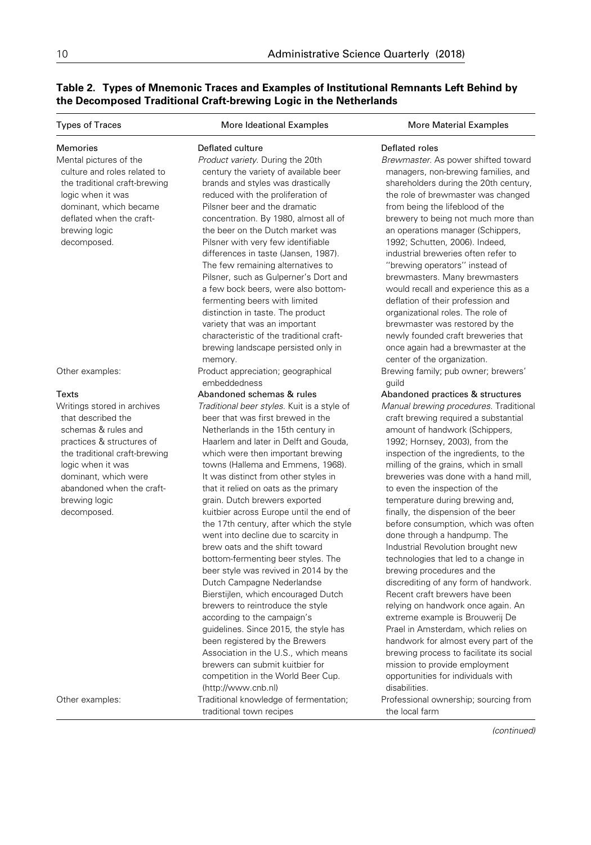| <b>Types of Traces</b>        | More Ideational Examples                                                | <b>More Material Examples</b>                                           |
|-------------------------------|-------------------------------------------------------------------------|-------------------------------------------------------------------------|
| <b>Memories</b>               | Deflated culture                                                        | Deflated roles                                                          |
| Mental pictures of the        | Product variety. During the 20th                                        | Brewmaster. As power shifted toward                                     |
| culture and roles related to  | century the variety of available beer                                   | managers, non-brewing families, and                                     |
| the traditional craft-brewing | brands and styles was drastically                                       | shareholders during the 20th century,                                   |
| logic when it was             | reduced with the proliferation of                                       | the role of brewmaster was changed                                      |
| dominant, which became        | Pilsner beer and the dramatic                                           | from being the lifeblood of the                                         |
| deflated when the craft-      | concentration. By 1980, almost all of                                   | brewery to being not much more than                                     |
| brewing logic                 | the beer on the Dutch market was                                        | an operations manager (Schippers,                                       |
| decomposed.                   | Pilsner with very few identifiable                                      | 1992; Schutten, 2006). Indeed,                                          |
|                               | differences in taste (Jansen, 1987).                                    | industrial breweries often refer to                                     |
|                               | The few remaining alternatives to                                       | "brewing operators" instead of                                          |
|                               | Pilsner, such as Gulperner's Dort and                                   | brewmasters. Many brewmasters                                           |
|                               | a few bock beers, were also bottom-                                     | would recall and experience this as a                                   |
|                               | fermenting beers with limited                                           | deflation of their profession and                                       |
|                               | distinction in taste. The product                                       | organizational roles. The role of                                       |
|                               | variety that was an important                                           | brewmaster was restored by the                                          |
|                               | characteristic of the traditional craft-                                | newly founded craft breweries that                                      |
|                               | brewing landscape persisted only in                                     | once again had a brewmaster at the                                      |
|                               | memory.                                                                 | center of the organization.                                             |
| Other examples:               | Product appreciation; geographical                                      | Brewing family; pub owner; brewers'                                     |
|                               | embeddedness                                                            | guild                                                                   |
| Texts                         | Abandoned schemas & rules                                               | Abandoned practices & structures                                        |
| Writings stored in archives   | Traditional beer styles. Kuit is a style of                             | Manual brewing procedures. Traditional                                  |
| that described the            | beer that was first brewed in the                                       | craft brewing required a substantial                                    |
| schemas & rules and           | Netherlands in the 15th century in                                      | amount of handwork (Schippers,                                          |
| practices & structures of     | Haarlem and later in Delft and Gouda,                                   | 1992; Hornsey, 2003), from the                                          |
| the traditional craft-brewing | which were then important brewing                                       | inspection of the ingredients, to the                                   |
| logic when it was             | towns (Hallema and Emmens, 1968).                                       | milling of the grains, which in small                                   |
| dominant, which were          | It was distinct from other styles in                                    | breweries was done with a hand mill,                                    |
| abandoned when the craft-     | that it relied on oats as the primary                                   | to even the inspection of the                                           |
| brewing logic                 | grain. Dutch brewers exported                                           | temperature during brewing and,                                         |
| decomposed.                   | kuitbier across Europe until the end of                                 | finally, the dispension of the beer                                     |
|                               | the 17th century, after which the style                                 | before consumption, which was often                                     |
|                               | went into decline due to scarcity in                                    | done through a handpump. The                                            |
|                               | brew oats and the shift toward                                          | Industrial Revolution brought new                                       |
|                               | bottom-fermenting beer styles. The                                      | technologies that led to a change in                                    |
|                               | beer style was revived in 2014 by the                                   | brewing procedures and the                                              |
|                               | Dutch Campagne Nederlandse                                              | discrediting of any form of handwork.<br>Recent craft brewers have been |
|                               | Bierstijlen, which encouraged Dutch<br>brewers to reintroduce the style | relying on handwork once again. An                                      |
|                               | according to the campaign's                                             | extreme example is Brouwerij De                                         |
|                               | guidelines. Since 2015, the style has                                   | Prael in Amsterdam, which relies on                                     |
|                               | been registered by the Brewers                                          | handwork for almost every part of the                                   |
|                               | Association in the U.S., which means                                    | brewing process to facilitate its social                                |
|                               | brewers can submit kuitbier for                                         | mission to provide employment                                           |
|                               | competition in the World Beer Cup.                                      | opportunities for individuals with                                      |
|                               | (http://www.cnb.nl)                                                     | disabilities.                                                           |
| Other examples:               | Traditional knowledge of fermentation;                                  | Professional ownership; sourcing from                                   |
|                               | traditional town recipes                                                | the local farm                                                          |

# Table 2. Types of Mnemonic Traces and Examples of Institutional Remnants Left Behind by the Decomposed Traditional Craft-brewing Logic in the Netherlands

(continued)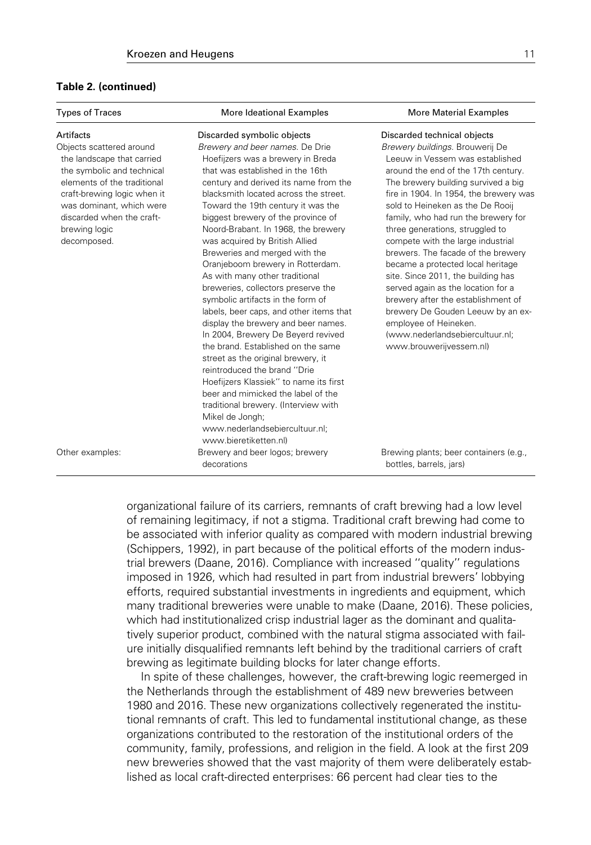### Table 2. (continued)

| <b>Types of Traces</b>      | More Ideational Examples                | <b>More Material Examples</b>          |  |
|-----------------------------|-----------------------------------------|----------------------------------------|--|
| Artifacts                   | Discarded symbolic objects              | Discarded technical objects            |  |
| Objects scattered around    | Brewery and beer names. De Drie         | Brewery buildings. Brouwerij De        |  |
| the landscape that carried  | Hoefijzers was a brewery in Breda       | Leeuw in Vessem was established        |  |
| the symbolic and technical  | that was established in the 16th        | around the end of the 17th century.    |  |
| elements of the traditional | century and derived its name from the   | The brewery building survived a big    |  |
| craft-brewing logic when it | blacksmith located across the street.   | fire in 1904. In 1954, the brewery was |  |
| was dominant, which were    | Toward the 19th century it was the      | sold to Heineken as the De Rooii       |  |
| discarded when the craft-   | biggest brewery of the province of      | family, who had run the brewery for    |  |
| brewing logic               | Noord-Brabant. In 1968, the brewery     | three generations, struggled to        |  |
| decomposed.                 | was acquired by British Allied          | compete with the large industrial      |  |
|                             | Breweries and merged with the           | brewers. The facade of the brewery     |  |
|                             | Oranjeboom brewery in Rotterdam.        | became a protected local heritage      |  |
|                             | As with many other traditional          | site. Since 2011, the building has     |  |
|                             | breweries, collectors preserve the      | served again as the location for a     |  |
|                             | symbolic artifacts in the form of       | brewery after the establishment of     |  |
|                             | labels, beer caps, and other items that | brewery De Gouden Leeuw by an ex-      |  |
|                             | display the brewery and beer names.     | employee of Heineken.                  |  |
|                             | In 2004, Brewery De Beyerd revived      | (www.nederlandsebiercultuur.nl:        |  |
|                             | the brand. Established on the same      | www.brouwerijvessem.nl)                |  |
|                             | street as the original brewery, it      |                                        |  |
|                             | reintroduced the brand "Drie            |                                        |  |
|                             | Hoefijzers Klassiek" to name its first  |                                        |  |
|                             | beer and mimicked the label of the      |                                        |  |
|                             | traditional brewery. (Interview with    |                                        |  |
|                             | Mikel de Jongh;                         |                                        |  |
|                             | www.nederlandsebiercultuur.nl:          |                                        |  |
|                             | www.bieretiketten.nl)                   |                                        |  |
| Other examples:             | Brewery and beer logos; brewery         | Brewing plants; beer containers (e.g., |  |
|                             | decorations                             | bottles, barrels, jars)                |  |

organizational failure of its carriers, remnants of craft brewing had a low level of remaining legitimacy, if not a stigma. Traditional craft brewing had come to be associated with inferior quality as compared with modern industrial brewing (Schippers, 1992), in part because of the political efforts of the modern industrial brewers (Daane, 2016). Compliance with increased ''quality'' regulations imposed in 1926, which had resulted in part from industrial brewers' lobbying efforts, required substantial investments in ingredients and equipment, which many traditional breweries were unable to make (Daane, 2016). These policies, which had institutionalized crisp industrial lager as the dominant and qualitatively superior product, combined with the natural stigma associated with failure initially disqualified remnants left behind by the traditional carriers of craft brewing as legitimate building blocks for later change efforts.

In spite of these challenges, however, the craft-brewing logic reemerged in the Netherlands through the establishment of 489 new breweries between 1980 and 2016. These new organizations collectively regenerated the institutional remnants of craft. This led to fundamental institutional change, as these organizations contributed to the restoration of the institutional orders of the community, family, professions, and religion in the field. A look at the first 209 new breweries showed that the vast majority of them were deliberately established as local craft-directed enterprises: 66 percent had clear ties to the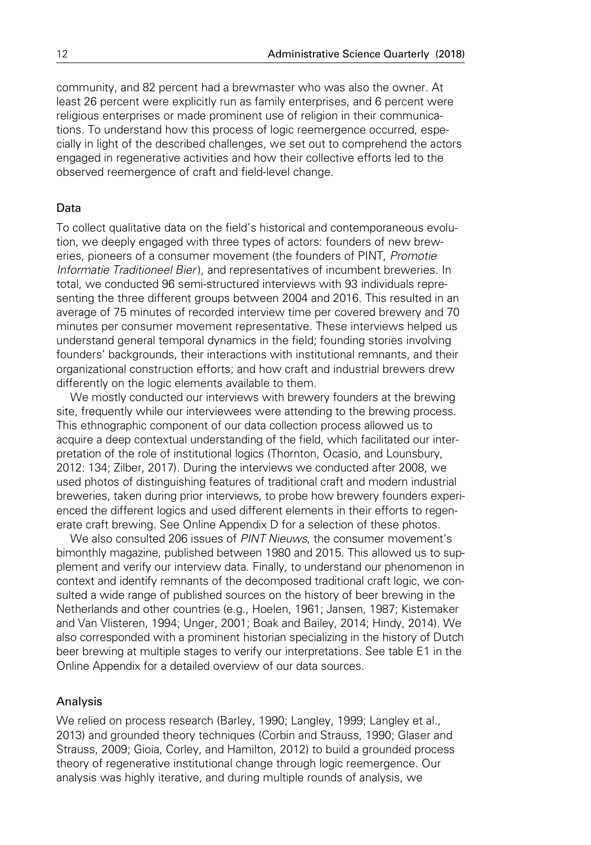community, and 82 percent had a brewmaster who was also the owner. At least 26 percent were explicitly run as family enterprises, and 6 percent were religious enterprises or made prominent use of religion in their communications. To understand how this process of logic reemergence occurred, especially in light of the described challenges, we set out to comprehend the actors engaged in regenerative activities and how their collective efforts led to the observed reemergence of craft and field-level change.

# Data

To collect qualitative data on the field's historical and contemporaneous evolution, we deeply engaged with three types of actors: founders of new breweries, pioneers of a consumer movement (the founders of PINT, Promotie Informatie Traditioneel Bier), and representatives of incumbent breweries. In total, we conducted 96 semi-structured interviews with 93 individuals representing the three different groups between 2004 and 2016. This resulted in an average of 75 minutes of recorded interview time per covered brewery and 70 minutes per consumer movement representative. These interviews helped us understand general temporal dynamics in the field; founding stories involving founders' backgrounds, their interactions with institutional remnants, and their organizational construction efforts; and how craft and industrial brewers drew differently on the logic elements available to them.

We mostly conducted our interviews with brewery founders at the brewing site, frequently while our interviewees were attending to the brewing process. This ethnographic component of our data collection process allowed us to acquire a deep contextual understanding of the field, which facilitated our interpretation of the role of institutional logics (Thornton, Ocasio, and Lounsbury, 2012: 134; Zilber, 2017). During the interviews we conducted after 2008, we used photos of distinguishing features of traditional craft and modern industrial breweries, taken during prior interviews, to probe how brewery founders experienced the different logics and used different elements in their efforts to regenerate craft brewing. See Online Appendix D for a selection of these photos.

We also consulted 206 issues of PINT Nieuws, the consumer movement's bimonthly magazine, published between 1980 and 2015. This allowed us to supplement and verify our interview data. Finally, to understand our phenomenon in context and identify remnants of the decomposed traditional craft logic, we consulted a wide range of published sources on the history of beer brewing in the Netherlands and other countries (e.g., Hoelen, 1961; Jansen, 1987; Kistemaker and Van Vlisteren, 1994; Unger, 2001; Boak and Bailey, 2014; Hindy, 2014). We also corresponded with a prominent historian specializing in the history of Dutch beer brewing at multiple stages to verify our interpretations. See table E1 in the Online Appendix for a detailed overview of our data sources.

# Analysis

We relied on process research (Barley, 1990; Langley, 1999; Langley et al., 2013) and grounded theory techniques (Corbin and Strauss, 1990; Glaser and Strauss, 2009; Gioia, Corley, and Hamilton, 2012) to build a grounded process theory of regenerative institutional change through logic reemergence. Our analysis was highly iterative, and during multiple rounds of analysis, we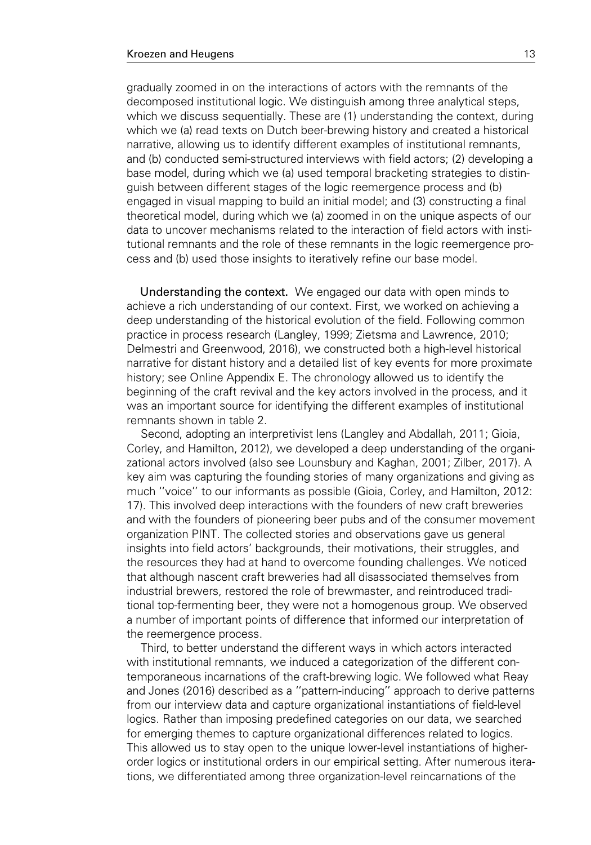gradually zoomed in on the interactions of actors with the remnants of the decomposed institutional logic. We distinguish among three analytical steps, which we discuss sequentially. These are (1) understanding the context, during which we (a) read texts on Dutch beer-brewing history and created a historical narrative, allowing us to identify different examples of institutional remnants, and (b) conducted semi-structured interviews with field actors; (2) developing a base model, during which we (a) used temporal bracketing strategies to distinguish between different stages of the logic reemergence process and (b) engaged in visual mapping to build an initial model; and (3) constructing a final theoretical model, during which we (a) zoomed in on the unique aspects of our data to uncover mechanisms related to the interaction of field actors with institutional remnants and the role of these remnants in the logic reemergence process and (b) used those insights to iteratively refine our base model.

Understanding the context. We engaged our data with open minds to achieve a rich understanding of our context. First, we worked on achieving a deep understanding of the historical evolution of the field. Following common practice in process research (Langley, 1999; Zietsma and Lawrence, 2010; Delmestri and Greenwood, 2016), we constructed both a high-level historical narrative for distant history and a detailed list of key events for more proximate history; see Online Appendix E. The chronology allowed us to identify the beginning of the craft revival and the key actors involved in the process, and it was an important source for identifying the different examples of institutional remnants shown in table 2.

Second, adopting an interpretivist lens (Langley and Abdallah, 2011; Gioia, Corley, and Hamilton, 2012), we developed a deep understanding of the organizational actors involved (also see Lounsbury and Kaghan, 2001; Zilber, 2017). A key aim was capturing the founding stories of many organizations and giving as much ''voice'' to our informants as possible (Gioia, Corley, and Hamilton, 2012: 17). This involved deep interactions with the founders of new craft breweries and with the founders of pioneering beer pubs and of the consumer movement organization PINT. The collected stories and observations gave us general insights into field actors' backgrounds, their motivations, their struggles, and the resources they had at hand to overcome founding challenges. We noticed that although nascent craft breweries had all disassociated themselves from industrial brewers, restored the role of brewmaster, and reintroduced traditional top-fermenting beer, they were not a homogenous group. We observed a number of important points of difference that informed our interpretation of the reemergence process.

Third, to better understand the different ways in which actors interacted with institutional remnants, we induced a categorization of the different contemporaneous incarnations of the craft-brewing logic. We followed what Reay and Jones (2016) described as a ''pattern-inducing'' approach to derive patterns from our interview data and capture organizational instantiations of field-level logics. Rather than imposing predefined categories on our data, we searched for emerging themes to capture organizational differences related to logics. This allowed us to stay open to the unique lower-level instantiations of higherorder logics or institutional orders in our empirical setting. After numerous iterations, we differentiated among three organization-level reincarnations of the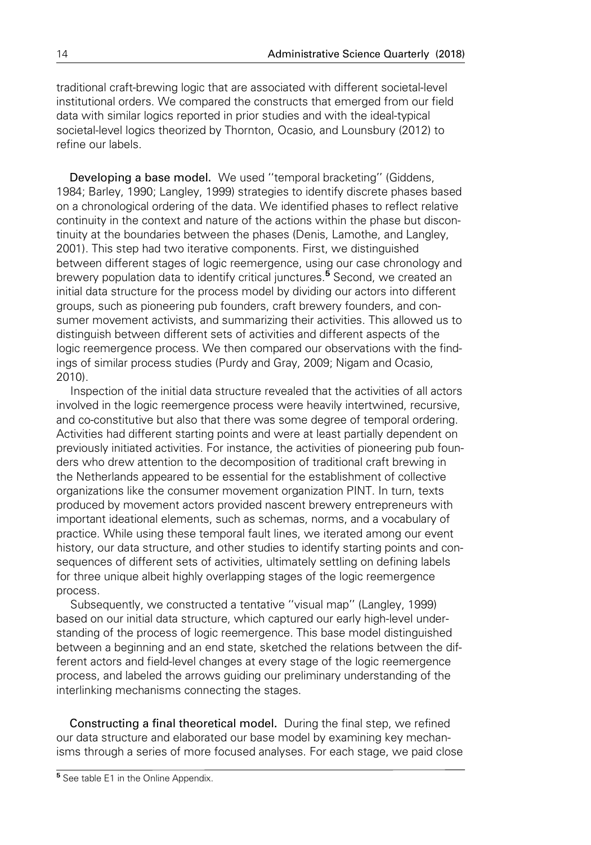traditional craft-brewing logic that are associated with different societal-level institutional orders. We compared the constructs that emerged from our field data with similar logics reported in prior studies and with the ideal-typical societal-level logics theorized by Thornton, Ocasio, and Lounsbury (2012) to refine our labels.

Developing a base model. We used ''temporal bracketing'' (Giddens, 1984; Barley, 1990; Langley, 1999) strategies to identify discrete phases based on a chronological ordering of the data. We identified phases to reflect relative continuity in the context and nature of the actions within the phase but discontinuity at the boundaries between the phases (Denis, Lamothe, and Langley, 2001). This step had two iterative components. First, we distinguished between different stages of logic reemergence, using our case chronology and brewery population data to identify critical junctures.<sup>5</sup> Second, we created an initial data structure for the process model by dividing our actors into different groups, such as pioneering pub founders, craft brewery founders, and consumer movement activists, and summarizing their activities. This allowed us to distinguish between different sets of activities and different aspects of the logic reemergence process. We then compared our observations with the findings of similar process studies (Purdy and Gray, 2009; Nigam and Ocasio, 2010).

Inspection of the initial data structure revealed that the activities of all actors involved in the logic reemergence process were heavily intertwined, recursive, and co-constitutive but also that there was some degree of temporal ordering. Activities had different starting points and were at least partially dependent on previously initiated activities. For instance, the activities of pioneering pub founders who drew attention to the decomposition of traditional craft brewing in the Netherlands appeared to be essential for the establishment of collective organizations like the consumer movement organization PINT. In turn, texts produced by movement actors provided nascent brewery entrepreneurs with important ideational elements, such as schemas, norms, and a vocabulary of practice. While using these temporal fault lines, we iterated among our event history, our data structure, and other studies to identify starting points and consequences of different sets of activities, ultimately settling on defining labels for three unique albeit highly overlapping stages of the logic reemergence process.

Subsequently, we constructed a tentative ''visual map'' (Langley, 1999) based on our initial data structure, which captured our early high-level understanding of the process of logic reemergence. This base model distinguished between a beginning and an end state, sketched the relations between the different actors and field-level changes at every stage of the logic reemergence process, and labeled the arrows guiding our preliminary understanding of the interlinking mechanisms connecting the stages.

Constructing a final theoretical model. During the final step, we refined our data structure and elaborated our base model by examining key mechanisms through a series of more focused analyses. For each stage, we paid close

**<sup>5</sup>** See table E1 in the Online Appendix.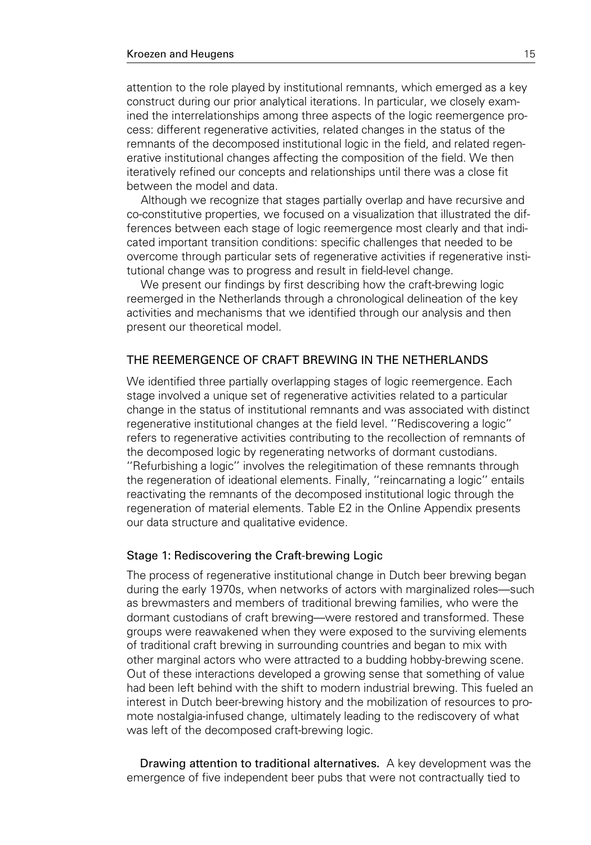attention to the role played by institutional remnants, which emerged as a key construct during our prior analytical iterations. In particular, we closely examined the interrelationships among three aspects of the logic reemergence process: different regenerative activities, related changes in the status of the remnants of the decomposed institutional logic in the field, and related regenerative institutional changes affecting the composition of the field. We then iteratively refined our concepts and relationships until there was a close fit between the model and data.

Although we recognize that stages partially overlap and have recursive and co-constitutive properties, we focused on a visualization that illustrated the differences between each stage of logic reemergence most clearly and that indicated important transition conditions: specific challenges that needed to be overcome through particular sets of regenerative activities if regenerative institutional change was to progress and result in field-level change.

We present our findings by first describing how the craft-brewing logic reemerged in the Netherlands through a chronological delineation of the key activities and mechanisms that we identified through our analysis and then present our theoretical model.

# THE REEMERGENCE OF CRAFT BREWING IN THE NETHERLANDS

We identified three partially overlapping stages of logic reemergence. Each stage involved a unique set of regenerative activities related to a particular change in the status of institutional remnants and was associated with distinct regenerative institutional changes at the field level. ''Rediscovering a logic'' refers to regenerative activities contributing to the recollection of remnants of the decomposed logic by regenerating networks of dormant custodians. ''Refurbishing a logic'' involves the relegitimation of these remnants through the regeneration of ideational elements. Finally, ''reincarnating a logic'' entails reactivating the remnants of the decomposed institutional logic through the regeneration of material elements. Table E2 in the Online Appendix presents our data structure and qualitative evidence.

## Stage 1: Rediscovering the Craft-brewing Logic

The process of regenerative institutional change in Dutch beer brewing began during the early 1970s, when networks of actors with marginalized roles—such as brewmasters and members of traditional brewing families, who were the dormant custodians of craft brewing—were restored and transformed. These groups were reawakened when they were exposed to the surviving elements of traditional craft brewing in surrounding countries and began to mix with other marginal actors who were attracted to a budding hobby-brewing scene. Out of these interactions developed a growing sense that something of value had been left behind with the shift to modern industrial brewing. This fueled an interest in Dutch beer-brewing history and the mobilization of resources to promote nostalgia-infused change, ultimately leading to the rediscovery of what was left of the decomposed craft-brewing logic.

Drawing attention to traditional alternatives. A key development was the emergence of five independent beer pubs that were not contractually tied to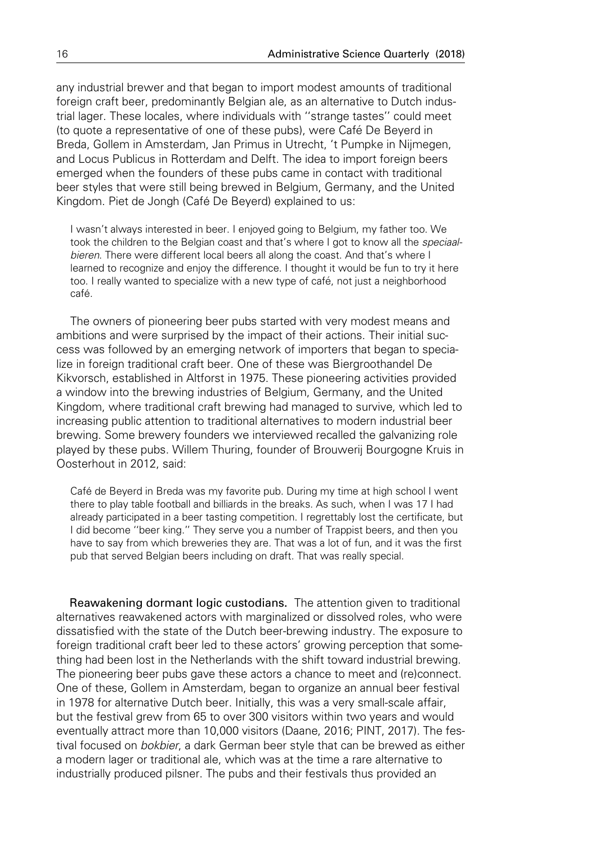any industrial brewer and that began to import modest amounts of traditional foreign craft beer, predominantly Belgian ale, as an alternative to Dutch industrial lager. These locales, where individuals with ''strange tastes'' could meet (to quote a representative of one of these pubs), were Café De Beyerd in Breda, Gollem in Amsterdam, Jan Primus in Utrecht, 't Pumpke in Nijmegen, and Locus Publicus in Rotterdam and Delft. The idea to import foreign beers emerged when the founders of these pubs came in contact with traditional beer styles that were still being brewed in Belgium, Germany, and the United Kingdom. Piet de Jongh (Café De Beyerd) explained to us:

I wasn't always interested in beer. I enjoyed going to Belgium, my father too. We took the children to the Belgian coast and that's where I got to know all the *speciaal*bieren. There were different local beers all along the coast. And that's where I learned to recognize and enjoy the difference. I thought it would be fun to try it here too. I really wanted to specialize with a new type of café, not just a neighborhood cafe´.

The owners of pioneering beer pubs started with very modest means and ambitions and were surprised by the impact of their actions. Their initial success was followed by an emerging network of importers that began to specialize in foreign traditional craft beer. One of these was Biergroothandel De Kikvorsch, established in Altforst in 1975. These pioneering activities provided a window into the brewing industries of Belgium, Germany, and the United Kingdom, where traditional craft brewing had managed to survive, which led to increasing public attention to traditional alternatives to modern industrial beer brewing. Some brewery founders we interviewed recalled the galvanizing role played by these pubs. Willem Thuring, founder of Brouwerij Bourgogne Kruis in Oosterhout in 2012, said:

Café de Beyerd in Breda was my favorite pub. During my time at high school I went there to play table football and billiards in the breaks. As such, when I was 17 I had already participated in a beer tasting competition. I regrettably lost the certificate, but I did become ''beer king.'' They serve you a number of Trappist beers, and then you have to say from which breweries they are. That was a lot of fun, and it was the first pub that served Belgian beers including on draft. That was really special.

Reawakening dormant logic custodians. The attention given to traditional alternatives reawakened actors with marginalized or dissolved roles, who were dissatisfied with the state of the Dutch beer-brewing industry. The exposure to foreign traditional craft beer led to these actors' growing perception that something had been lost in the Netherlands with the shift toward industrial brewing. The pioneering beer pubs gave these actors a chance to meet and (re)connect. One of these, Gollem in Amsterdam, began to organize an annual beer festival in 1978 for alternative Dutch beer. Initially, this was a very small-scale affair, but the festival grew from 65 to over 300 visitors within two years and would eventually attract more than 10,000 visitors (Daane, 2016; PINT, 2017). The festival focused on *bokbier*, a dark German beer style that can be brewed as either a modern lager or traditional ale, which was at the time a rare alternative to industrially produced pilsner. The pubs and their festivals thus provided an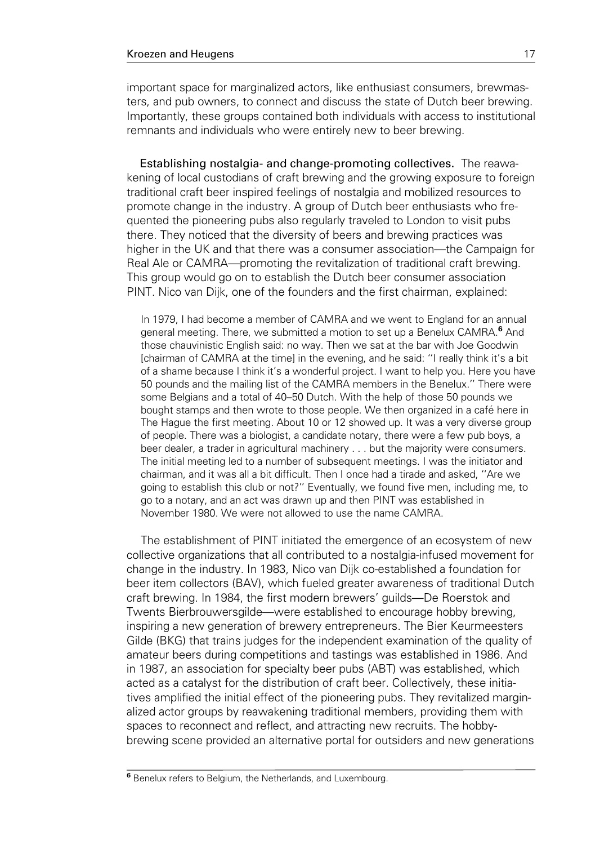important space for marginalized actors, like enthusiast consumers, brewmasters, and pub owners, to connect and discuss the state of Dutch beer brewing. Importantly, these groups contained both individuals with access to institutional remnants and individuals who were entirely new to beer brewing.

Establishing nostalgia- and change-promoting collectives. The reawakening of local custodians of craft brewing and the growing exposure to foreign traditional craft beer inspired feelings of nostalgia and mobilized resources to promote change in the industry. A group of Dutch beer enthusiasts who frequented the pioneering pubs also regularly traveled to London to visit pubs there. They noticed that the diversity of beers and brewing practices was higher in the UK and that there was a consumer association—the Campaign for Real Ale or CAMRA—promoting the revitalization of traditional craft brewing. This group would go on to establish the Dutch beer consumer association PINT. Nico van Dijk, one of the founders and the first chairman, explained:

In 1979, I had become a member of CAMRA and we went to England for an annual general meeting. There, we submitted a motion to set up a Benelux CAMRA.<sup>6</sup> And those chauvinistic English said: no way. Then we sat at the bar with Joe Goodwin [chairman of CAMRA at the time] in the evening, and he said: ''I really think it's a bit of a shame because I think it's a wonderful project. I want to help you. Here you have 50 pounds and the mailing list of the CAMRA members in the Benelux.'' There were some Belgians and a total of 40–50 Dutch. With the help of those 50 pounds we bought stamps and then wrote to those people. We then organized in a café here in The Hague the first meeting. About 10 or 12 showed up. It was a very diverse group of people. There was a biologist, a candidate notary, there were a few pub boys, a beer dealer, a trader in agricultural machinery . . . but the majority were consumers. The initial meeting led to a number of subsequent meetings. I was the initiator and chairman, and it was all a bit difficult. Then I once had a tirade and asked, ''Are we going to establish this club or not?'' Eventually, we found five men, including me, to go to a notary, and an act was drawn up and then PINT was established in November 1980. We were not allowed to use the name CAMRA.

The establishment of PINT initiated the emergence of an ecosystem of new collective organizations that all contributed to a nostalgia-infused movement for change in the industry. In 1983, Nico van Dijk co-established a foundation for beer item collectors (BAV), which fueled greater awareness of traditional Dutch craft brewing. In 1984, the first modern brewers' guilds—De Roerstok and Twents Bierbrouwersgilde—were established to encourage hobby brewing, inspiring a new generation of brewery entrepreneurs. The Bier Keurmeesters Gilde (BKG) that trains judges for the independent examination of the quality of amateur beers during competitions and tastings was established in 1986. And in 1987, an association for specialty beer pubs (ABT) was established, which acted as a catalyst for the distribution of craft beer. Collectively, these initiatives amplified the initial effect of the pioneering pubs. They revitalized marginalized actor groups by reawakening traditional members, providing them with spaces to reconnect and reflect, and attracting new recruits. The hobbybrewing scene provided an alternative portal for outsiders and new generations

<sup>6</sup> Benelux refers to Belgium, the Netherlands, and Luxembourg.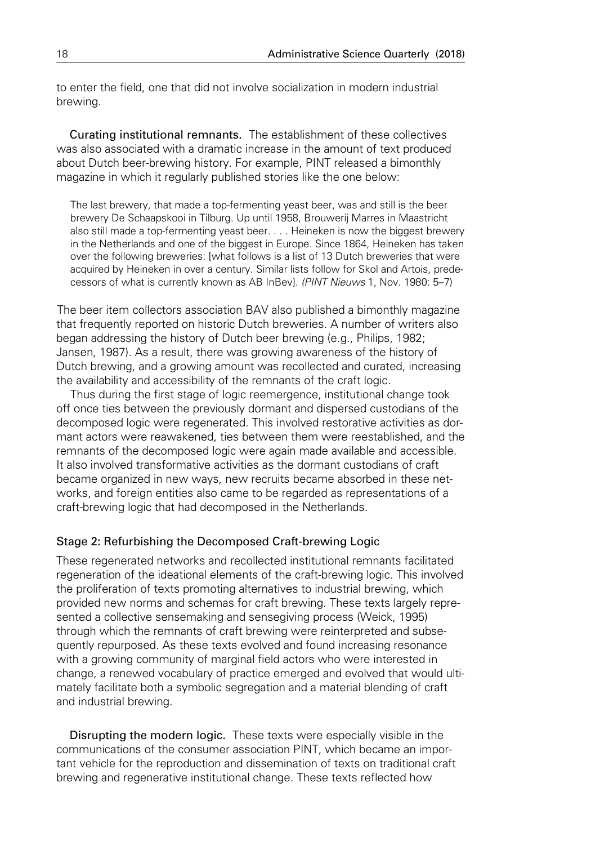to enter the field, one that did not involve socialization in modern industrial brewing.

Curating institutional remnants. The establishment of these collectives was also associated with a dramatic increase in the amount of text produced about Dutch beer-brewing history. For example, PINT released a bimonthly magazine in which it regularly published stories like the one below:

The last brewery, that made a top-fermenting yeast beer, was and still is the beer brewery De Schaapskooi in Tilburg. Up until 1958, Brouwerij Marres in Maastricht also still made a top-fermenting yeast beer. . . . Heineken is now the biggest brewery in the Netherlands and one of the biggest in Europe. Since 1864, Heineken has taken over the following breweries: [what follows is a list of 13 Dutch breweries that were acquired by Heineken in over a century. Similar lists follow for Skol and Artois, predecessors of what is currently known as AB InBev]. (PINT Nieuws 1, Nov. 1980: 5–7)

The beer item collectors association BAV also published a bimonthly magazine that frequently reported on historic Dutch breweries. A number of writers also began addressing the history of Dutch beer brewing (e.g., Philips, 1982; Jansen, 1987). As a result, there was growing awareness of the history of Dutch brewing, and a growing amount was recollected and curated, increasing the availability and accessibility of the remnants of the craft logic.

Thus during the first stage of logic reemergence, institutional change took off once ties between the previously dormant and dispersed custodians of the decomposed logic were regenerated. This involved restorative activities as dormant actors were reawakened, ties between them were reestablished, and the remnants of the decomposed logic were again made available and accessible. It also involved transformative activities as the dormant custodians of craft became organized in new ways, new recruits became absorbed in these networks, and foreign entities also came to be regarded as representations of a craft-brewing logic that had decomposed in the Netherlands.

# Stage 2: Refurbishing the Decomposed Craft-brewing Logic

These regenerated networks and recollected institutional remnants facilitated regeneration of the ideational elements of the craft-brewing logic. This involved the proliferation of texts promoting alternatives to industrial brewing, which provided new norms and schemas for craft brewing. These texts largely represented a collective sensemaking and sensegiving process (Weick, 1995) through which the remnants of craft brewing were reinterpreted and subsequently repurposed. As these texts evolved and found increasing resonance with a growing community of marginal field actors who were interested in change, a renewed vocabulary of practice emerged and evolved that would ultimately facilitate both a symbolic segregation and a material blending of craft and industrial brewing.

Disrupting the modern logic. These texts were especially visible in the communications of the consumer association PINT, which became an important vehicle for the reproduction and dissemination of texts on traditional craft brewing and regenerative institutional change. These texts reflected how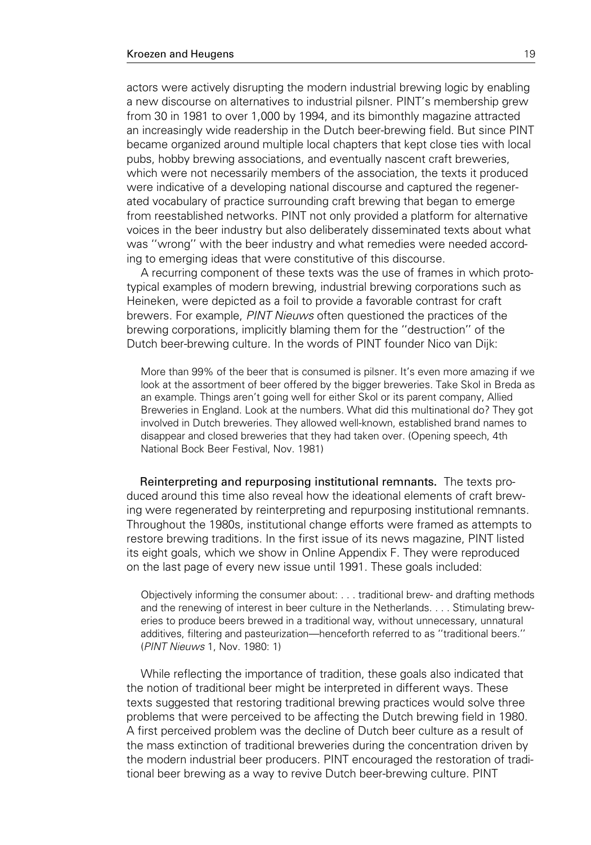actors were actively disrupting the modern industrial brewing logic by enabling a new discourse on alternatives to industrial pilsner. PINT's membership grew from 30 in 1981 to over 1,000 by 1994, and its bimonthly magazine attracted an increasingly wide readership in the Dutch beer-brewing field. But since PINT became organized around multiple local chapters that kept close ties with local pubs, hobby brewing associations, and eventually nascent craft breweries, which were not necessarily members of the association, the texts it produced were indicative of a developing national discourse and captured the regenerated vocabulary of practice surrounding craft brewing that began to emerge from reestablished networks. PINT not only provided a platform for alternative voices in the beer industry but also deliberately disseminated texts about what was ''wrong'' with the beer industry and what remedies were needed according to emerging ideas that were constitutive of this discourse.

A recurring component of these texts was the use of frames in which prototypical examples of modern brewing, industrial brewing corporations such as Heineken, were depicted as a foil to provide a favorable contrast for craft brewers. For example, PINT Nieuws often questioned the practices of the brewing corporations, implicitly blaming them for the ''destruction'' of the Dutch beer-brewing culture. In the words of PINT founder Nico van Dijk:

More than 99% of the beer that is consumed is pilsner. It's even more amazing if we look at the assortment of beer offered by the bigger breweries. Take Skol in Breda as an example. Things aren't going well for either Skol or its parent company, Allied Breweries in England. Look at the numbers. What did this multinational do? They got involved in Dutch breweries. They allowed well-known, established brand names to disappear and closed breweries that they had taken over. (Opening speech, 4th National Bock Beer Festival, Nov. 1981)

Reinterpreting and repurposing institutional remnants. The texts produced around this time also reveal how the ideational elements of craft brewing were regenerated by reinterpreting and repurposing institutional remnants. Throughout the 1980s, institutional change efforts were framed as attempts to restore brewing traditions. In the first issue of its news magazine, PINT listed its eight goals, which we show in Online Appendix F. They were reproduced on the last page of every new issue until 1991. These goals included:

Objectively informing the consumer about: . . . traditional brew- and drafting methods and the renewing of interest in beer culture in the Netherlands. . . . Stimulating breweries to produce beers brewed in a traditional way, without unnecessary, unnatural additives, filtering and pasteurization—henceforth referred to as ''traditional beers.'' (PINT Nieuws 1, Nov. 1980: 1)

While reflecting the importance of tradition, these goals also indicated that the notion of traditional beer might be interpreted in different ways. These texts suggested that restoring traditional brewing practices would solve three problems that were perceived to be affecting the Dutch brewing field in 1980. A first perceived problem was the decline of Dutch beer culture as a result of the mass extinction of traditional breweries during the concentration driven by the modern industrial beer producers. PINT encouraged the restoration of traditional beer brewing as a way to revive Dutch beer-brewing culture. PINT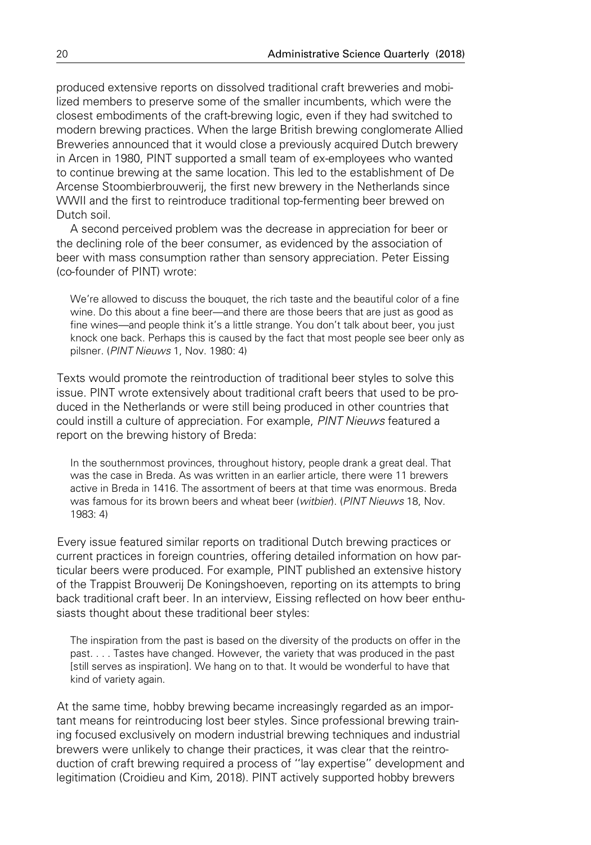produced extensive reports on dissolved traditional craft breweries and mobilized members to preserve some of the smaller incumbents, which were the closest embodiments of the craft-brewing logic, even if they had switched to modern brewing practices. When the large British brewing conglomerate Allied Breweries announced that it would close a previously acquired Dutch brewery in Arcen in 1980, PINT supported a small team of ex-employees who wanted to continue brewing at the same location. This led to the establishment of De Arcense Stoombierbrouwerij, the first new brewery in the Netherlands since WWII and the first to reintroduce traditional top-fermenting beer brewed on Dutch soil.

A second perceived problem was the decrease in appreciation for beer or the declining role of the beer consumer, as evidenced by the association of beer with mass consumption rather than sensory appreciation. Peter Eissing (co-founder of PINT) wrote:

We're allowed to discuss the bouquet, the rich taste and the beautiful color of a fine wine. Do this about a fine beer—and there are those beers that are just as good as fine wines—and people think it's a little strange. You don't talk about beer, you just knock one back. Perhaps this is caused by the fact that most people see beer only as pilsner. (PINT Nieuws 1, Nov. 1980: 4)

Texts would promote the reintroduction of traditional beer styles to solve this issue. PINT wrote extensively about traditional craft beers that used to be produced in the Netherlands or were still being produced in other countries that could instill a culture of appreciation. For example, PINT Nieuws featured a report on the brewing history of Breda:

In the southernmost provinces, throughout history, people drank a great deal. That was the case in Breda. As was written in an earlier article, there were 11 brewers active in Breda in 1416. The assortment of beers at that time was enormous. Breda was famous for its brown beers and wheat beer (witbier). (PINT Nieuws 18, Nov. 1983: 4)

Every issue featured similar reports on traditional Dutch brewing practices or current practices in foreign countries, offering detailed information on how particular beers were produced. For example, PINT published an extensive history of the Trappist Brouwerij De Koningshoeven, reporting on its attempts to bring back traditional craft beer. In an interview, Eissing reflected on how beer enthusiasts thought about these traditional beer styles:

The inspiration from the past is based on the diversity of the products on offer in the past. . . . Tastes have changed. However, the variety that was produced in the past [still serves as inspiration]. We hang on to that. It would be wonderful to have that kind of variety again.

At the same time, hobby brewing became increasingly regarded as an important means for reintroducing lost beer styles. Since professional brewing training focused exclusively on modern industrial brewing techniques and industrial brewers were unlikely to change their practices, it was clear that the reintroduction of craft brewing required a process of ''lay expertise'' development and legitimation (Croidieu and Kim, 2018). PINT actively supported hobby brewers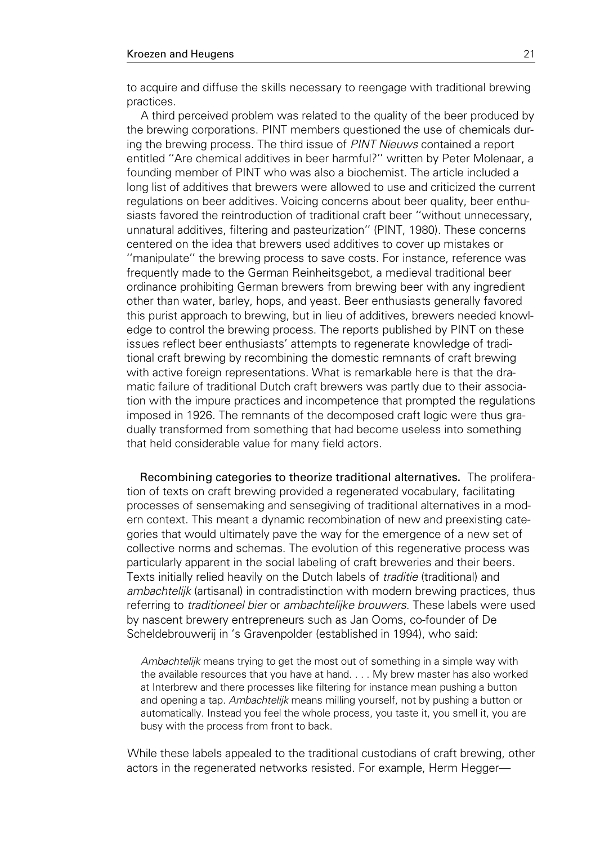to acquire and diffuse the skills necessary to reengage with traditional brewing practices.

A third perceived problem was related to the quality of the beer produced by the brewing corporations. PINT members questioned the use of chemicals during the brewing process. The third issue of PINT Nieuws contained a report entitled ''Are chemical additives in beer harmful?'' written by Peter Molenaar, a founding member of PINT who was also a biochemist. The article included a long list of additives that brewers were allowed to use and criticized the current regulations on beer additives. Voicing concerns about beer quality, beer enthusiasts favored the reintroduction of traditional craft beer ''without unnecessary, unnatural additives, filtering and pasteurization'' (PINT, 1980). These concerns centered on the idea that brewers used additives to cover up mistakes or ''manipulate'' the brewing process to save costs. For instance, reference was frequently made to the German Reinheitsgebot, a medieval traditional beer ordinance prohibiting German brewers from brewing beer with any ingredient other than water, barley, hops, and yeast. Beer enthusiasts generally favored this purist approach to brewing, but in lieu of additives, brewers needed knowledge to control the brewing process. The reports published by PINT on these issues reflect beer enthusiasts' attempts to regenerate knowledge of traditional craft brewing by recombining the domestic remnants of craft brewing with active foreign representations. What is remarkable here is that the dramatic failure of traditional Dutch craft brewers was partly due to their association with the impure practices and incompetence that prompted the regulations imposed in 1926. The remnants of the decomposed craft logic were thus gradually transformed from something that had become useless into something that held considerable value for many field actors.

Recombining categories to theorize traditional alternatives. The proliferation of texts on craft brewing provided a regenerated vocabulary, facilitating processes of sensemaking and sensegiving of traditional alternatives in a modern context. This meant a dynamic recombination of new and preexisting categories that would ultimately pave the way for the emergence of a new set of collective norms and schemas. The evolution of this regenerative process was particularly apparent in the social labeling of craft breweries and their beers. Texts initially relied heavily on the Dutch labels of *traditie* (traditional) and ambachtelijk (artisanal) in contradistinction with modern brewing practices, thus referring to *traditioneel bier* or *ambachtelijke brouwers*. These labels were used by nascent brewery entrepreneurs such as Jan Ooms, co-founder of De Scheldebrouwerij in 's Gravenpolder (established in 1994), who said:

Ambachtelijk means trying to get the most out of something in a simple way with the available resources that you have at hand. . . . My brew master has also worked at Interbrew and there processes like filtering for instance mean pushing a button and opening a tap. Ambachtelijk means milling yourself, not by pushing a button or automatically. Instead you feel the whole process, you taste it, you smell it, you are busy with the process from front to back.

While these labels appealed to the traditional custodians of craft brewing, other actors in the regenerated networks resisted. For example, Herm Hegger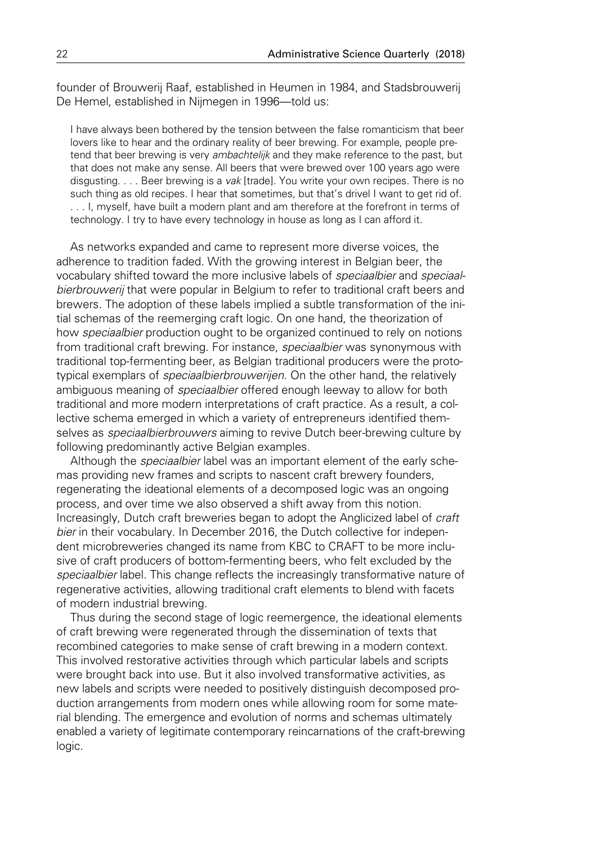founder of Brouwerij Raaf, established in Heumen in 1984, and Stadsbrouwerij De Hemel, established in Nijmegen in 1996—told us:

I have always been bothered by the tension between the false romanticism that beer lovers like to hear and the ordinary reality of beer brewing. For example, people pretend that beer brewing is very *ambachtelijk* and they make reference to the past, but that does not make any sense. All beers that were brewed over 100 years ago were disgusting. . . . Beer brewing is a vak [trade]. You write your own recipes. There is no such thing as old recipes. I hear that sometimes, but that's drivel I want to get rid of. . . . I, myself, have built a modern plant and am therefore at the forefront in terms of technology. I try to have every technology in house as long as I can afford it.

As networks expanded and came to represent more diverse voices, the adherence to tradition faded. With the growing interest in Belgian beer, the vocabulary shifted toward the more inclusive labels of speciaalbier and speciaalbierbrouwerij that were popular in Belgium to refer to traditional craft beers and brewers. The adoption of these labels implied a subtle transformation of the initial schemas of the reemerging craft logic. On one hand, the theorization of how *speciaalbier* production ought to be organized continued to rely on notions from traditional craft brewing. For instance, speciaalbier was synonymous with traditional top-fermenting beer, as Belgian traditional producers were the prototypical exemplars of *speciaalbierbrouwerijen*. On the other hand, the relatively ambiguous meaning of *speciaalbier* offered enough leeway to allow for both traditional and more modern interpretations of craft practice. As a result, a collective schema emerged in which a variety of entrepreneurs identified themselves as *speciaalbierbrouwers* aiming to revive Dutch beer-brewing culture by following predominantly active Belgian examples.

Although the *speciaalbier* label was an important element of the early schemas providing new frames and scripts to nascent craft brewery founders, regenerating the ideational elements of a decomposed logic was an ongoing process, and over time we also observed a shift away from this notion. Increasingly, Dutch craft breweries began to adopt the Anglicized label of craft bier in their vocabulary. In December 2016, the Dutch collective for independent microbreweries changed its name from KBC to CRAFT to be more inclusive of craft producers of bottom-fermenting beers, who felt excluded by the speciaalbier label. This change reflects the increasingly transformative nature of regenerative activities, allowing traditional craft elements to blend with facets of modern industrial brewing.

Thus during the second stage of logic reemergence, the ideational elements of craft brewing were regenerated through the dissemination of texts that recombined categories to make sense of craft brewing in a modern context. This involved restorative activities through which particular labels and scripts were brought back into use. But it also involved transformative activities, as new labels and scripts were needed to positively distinguish decomposed production arrangements from modern ones while allowing room for some material blending. The emergence and evolution of norms and schemas ultimately enabled a variety of legitimate contemporary reincarnations of the craft-brewing logic.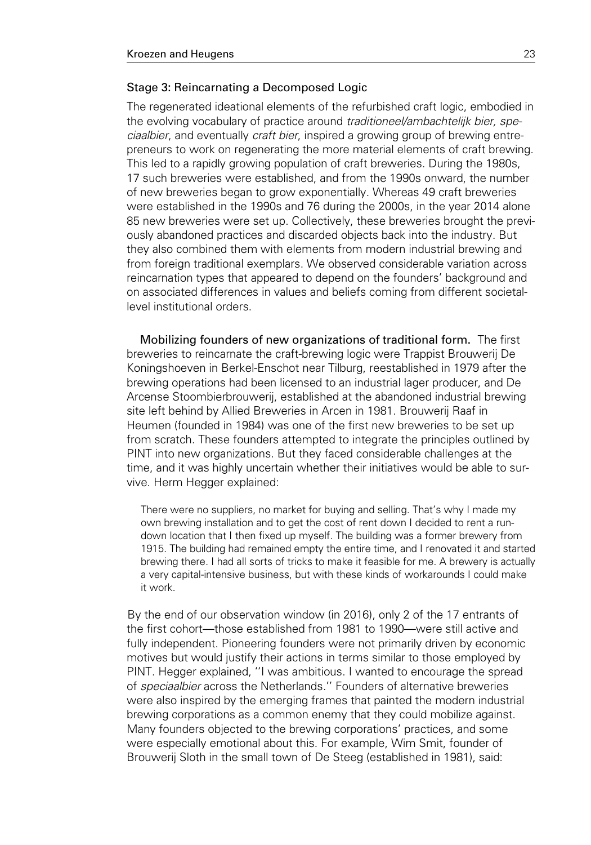# Stage 3: Reincarnating a Decomposed Logic

The regenerated ideational elements of the refurbished craft logic, embodied in the evolving vocabulary of practice around traditioneel/ambachtelijk bier, speciaalbier, and eventually craft bier, inspired a growing group of brewing entrepreneurs to work on regenerating the more material elements of craft brewing. This led to a rapidly growing population of craft breweries. During the 1980s, 17 such breweries were established, and from the 1990s onward, the number of new breweries began to grow exponentially. Whereas 49 craft breweries were established in the 1990s and 76 during the 2000s, in the year 2014 alone 85 new breweries were set up. Collectively, these breweries brought the previously abandoned practices and discarded objects back into the industry. But they also combined them with elements from modern industrial brewing and from foreign traditional exemplars. We observed considerable variation across reincarnation types that appeared to depend on the founders' background and on associated differences in values and beliefs coming from different societallevel institutional orders.

Mobilizing founders of new organizations of traditional form. The first breweries to reincarnate the craft-brewing logic were Trappist Brouwerij De Koningshoeven in Berkel-Enschot near Tilburg, reestablished in 1979 after the brewing operations had been licensed to an industrial lager producer, and De Arcense Stoombierbrouwerij, established at the abandoned industrial brewing site left behind by Allied Breweries in Arcen in 1981. Brouwerij Raaf in Heumen (founded in 1984) was one of the first new breweries to be set up from scratch. These founders attempted to integrate the principles outlined by PINT into new organizations. But they faced considerable challenges at the time, and it was highly uncertain whether their initiatives would be able to survive. Herm Hegger explained:

There were no suppliers, no market for buying and selling. That's why I made my own brewing installation and to get the cost of rent down I decided to rent a rundown location that I then fixed up myself. The building was a former brewery from 1915. The building had remained empty the entire time, and I renovated it and started brewing there. I had all sorts of tricks to make it feasible for me. A brewery is actually a very capital-intensive business, but with these kinds of workarounds I could make it work.

By the end of our observation window (in 2016), only 2 of the 17 entrants of the first cohort—those established from 1981 to 1990—were still active and fully independent. Pioneering founders were not primarily driven by economic motives but would justify their actions in terms similar to those employed by PINT. Hegger explained, ''I was ambitious. I wanted to encourage the spread of speciaalbier across the Netherlands.'' Founders of alternative breweries were also inspired by the emerging frames that painted the modern industrial brewing corporations as a common enemy that they could mobilize against. Many founders objected to the brewing corporations' practices, and some were especially emotional about this. For example, Wim Smit, founder of Brouwerij Sloth in the small town of De Steeg (established in 1981), said: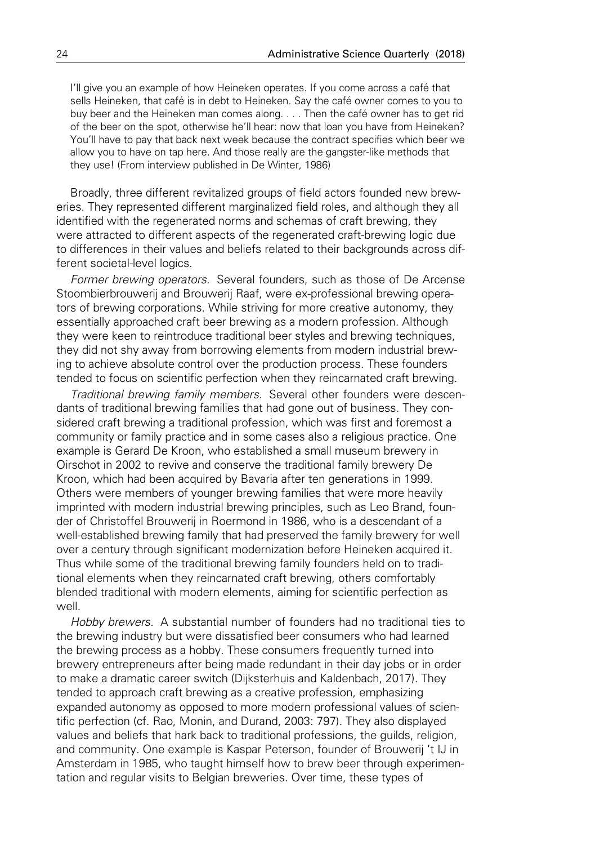I'll give you an example of how Heineken operates. If you come across a café that sells Heineken, that café is in debt to Heineken. Say the café owner comes to you to buy beer and the Heineken man comes along. . . . Then the café owner has to get rid of the beer on the spot, otherwise he'll hear: now that loan you have from Heineken? You'll have to pay that back next week because the contract specifies which beer we allow you to have on tap here. And those really are the gangster-like methods that they use! (From interview published in De Winter, 1986)

Broadly, three different revitalized groups of field actors founded new breweries. They represented different marginalized field roles, and although they all identified with the regenerated norms and schemas of craft brewing, they were attracted to different aspects of the regenerated craft-brewing logic due to differences in their values and beliefs related to their backgrounds across different societal-level logics.

Former brewing operators. Several founders, such as those of De Arcense Stoombierbrouwerij and Brouwerij Raaf, were ex-professional brewing operators of brewing corporations. While striving for more creative autonomy, they essentially approached craft beer brewing as a modern profession. Although they were keen to reintroduce traditional beer styles and brewing techniques, they did not shy away from borrowing elements from modern industrial brewing to achieve absolute control over the production process. These founders tended to focus on scientific perfection when they reincarnated craft brewing.

Traditional brewing family members. Several other founders were descendants of traditional brewing families that had gone out of business. They considered craft brewing a traditional profession, which was first and foremost a community or family practice and in some cases also a religious practice. One example is Gerard De Kroon, who established a small museum brewery in Oirschot in 2002 to revive and conserve the traditional family brewery De Kroon, which had been acquired by Bavaria after ten generations in 1999. Others were members of younger brewing families that were more heavily imprinted with modern industrial brewing principles, such as Leo Brand, founder of Christoffel Brouwerij in Roermond in 1986, who is a descendant of a well-established brewing family that had preserved the family brewery for well over a century through significant modernization before Heineken acquired it. Thus while some of the traditional brewing family founders held on to traditional elements when they reincarnated craft brewing, others comfortably blended traditional with modern elements, aiming for scientific perfection as well.

Hobby brewers. A substantial number of founders had no traditional ties to the brewing industry but were dissatisfied beer consumers who had learned the brewing process as a hobby. These consumers frequently turned into brewery entrepreneurs after being made redundant in their day jobs or in order to make a dramatic career switch (Dijksterhuis and Kaldenbach, 2017). They tended to approach craft brewing as a creative profession, emphasizing expanded autonomy as opposed to more modern professional values of scientific perfection (cf. Rao, Monin, and Durand, 2003: 797). They also displayed values and beliefs that hark back to traditional professions, the guilds, religion, and community. One example is Kaspar Peterson, founder of Brouwerij 't IJ in Amsterdam in 1985, who taught himself how to brew beer through experimentation and regular visits to Belgian breweries. Over time, these types of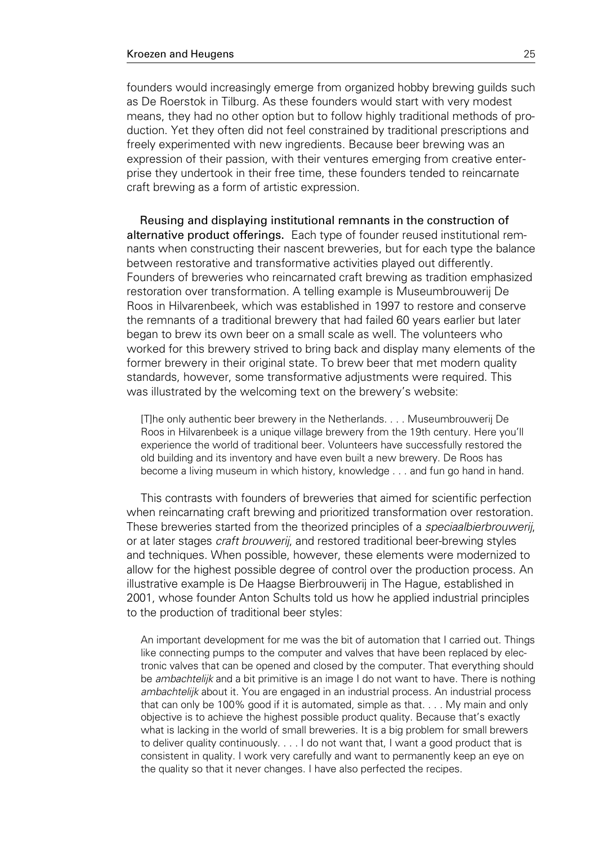founders would increasingly emerge from organized hobby brewing guilds such as De Roerstok in Tilburg. As these founders would start with very modest means, they had no other option but to follow highly traditional methods of production. Yet they often did not feel constrained by traditional prescriptions and freely experimented with new ingredients. Because beer brewing was an expression of their passion, with their ventures emerging from creative enterprise they undertook in their free time, these founders tended to reincarnate craft brewing as a form of artistic expression.

Reusing and displaying institutional remnants in the construction of alternative product offerings. Each type of founder reused institutional remnants when constructing their nascent breweries, but for each type the balance between restorative and transformative activities played out differently. Founders of breweries who reincarnated craft brewing as tradition emphasized restoration over transformation. A telling example is Museumbrouwerij De Roos in Hilvarenbeek, which was established in 1997 to restore and conserve the remnants of a traditional brewery that had failed 60 years earlier but later began to brew its own beer on a small scale as well. The volunteers who worked for this brewery strived to bring back and display many elements of the former brewery in their original state. To brew beer that met modern quality standards, however, some transformative adjustments were required. This was illustrated by the welcoming text on the brewery's website:

[T]he only authentic beer brewery in the Netherlands. . . . Museumbrouwerij De Roos in Hilvarenbeek is a unique village brewery from the 19th century. Here you'll experience the world of traditional beer. Volunteers have successfully restored the old building and its inventory and have even built a new brewery. De Roos has become a living museum in which history, knowledge . . . and fun go hand in hand.

This contrasts with founders of breweries that aimed for scientific perfection when reincarnating craft brewing and prioritized transformation over restoration. These breweries started from the theorized principles of a speciaalbierbrouwerij, or at later stages craft brouwerij, and restored traditional beer-brewing styles and techniques. When possible, however, these elements were modernized to allow for the highest possible degree of control over the production process. An illustrative example is De Haagse Bierbrouwerij in The Hague, established in 2001, whose founder Anton Schults told us how he applied industrial principles to the production of traditional beer styles:

An important development for me was the bit of automation that I carried out. Things like connecting pumps to the computer and valves that have been replaced by electronic valves that can be opened and closed by the computer. That everything should be *ambachtelijk* and a bit primitive is an image I do not want to have. There is nothing ambachtelijk about it. You are engaged in an industrial process. An industrial process that can only be 100% good if it is automated, simple as that. . . . My main and only objective is to achieve the highest possible product quality. Because that's exactly what is lacking in the world of small breweries. It is a big problem for small brewers to deliver quality continuously. . . . I do not want that, I want a good product that is consistent in quality. I work very carefully and want to permanently keep an eye on the quality so that it never changes. I have also perfected the recipes.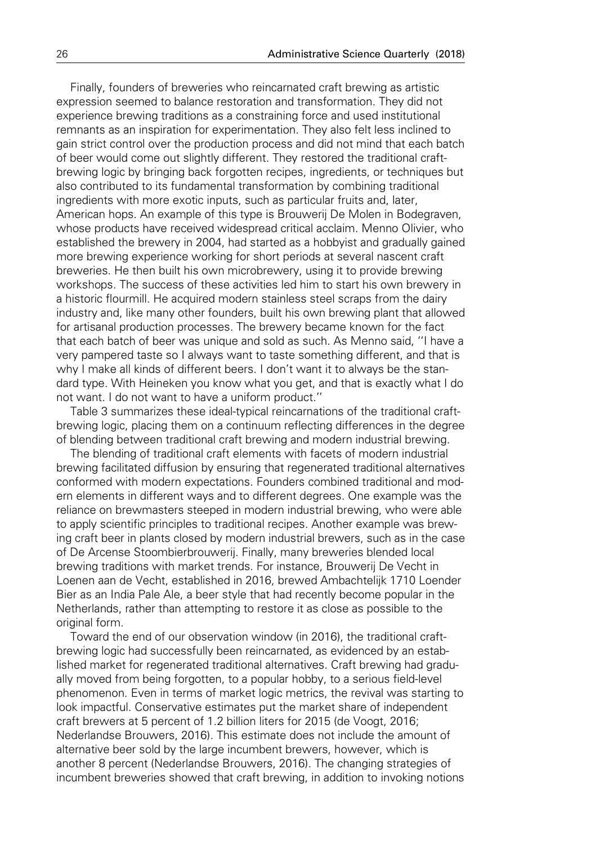Finally, founders of breweries who reincarnated craft brewing as artistic expression seemed to balance restoration and transformation. They did not experience brewing traditions as a constraining force and used institutional remnants as an inspiration for experimentation. They also felt less inclined to gain strict control over the production process and did not mind that each batch of beer would come out slightly different. They restored the traditional craftbrewing logic by bringing back forgotten recipes, ingredients, or techniques but also contributed to its fundamental transformation by combining traditional ingredients with more exotic inputs, such as particular fruits and, later, American hops. An example of this type is Brouwerij De Molen in Bodegraven, whose products have received widespread critical acclaim. Menno Olivier, who established the brewery in 2004, had started as a hobbyist and gradually gained more brewing experience working for short periods at several nascent craft breweries. He then built his own microbrewery, using it to provide brewing workshops. The success of these activities led him to start his own brewery in a historic flourmill. He acquired modern stainless steel scraps from the dairy industry and, like many other founders, built his own brewing plant that allowed for artisanal production processes. The brewery became known for the fact that each batch of beer was unique and sold as such. As Menno said, ''I have a very pampered taste so I always want to taste something different, and that is why I make all kinds of different beers. I don't want it to always be the standard type. With Heineken you know what you get, and that is exactly what I do not want. I do not want to have a uniform product.''

Table 3 summarizes these ideal-typical reincarnations of the traditional craftbrewing logic, placing them on a continuum reflecting differences in the degree of blending between traditional craft brewing and modern industrial brewing.

The blending of traditional craft elements with facets of modern industrial brewing facilitated diffusion by ensuring that regenerated traditional alternatives conformed with modern expectations. Founders combined traditional and modern elements in different ways and to different degrees. One example was the reliance on brewmasters steeped in modern industrial brewing, who were able to apply scientific principles to traditional recipes. Another example was brewing craft beer in plants closed by modern industrial brewers, such as in the case of De Arcense Stoombierbrouwerij. Finally, many breweries blended local brewing traditions with market trends. For instance, Brouwerij De Vecht in Loenen aan de Vecht, established in 2016, brewed Ambachtelijk 1710 Loender Bier as an India Pale Ale, a beer style that had recently become popular in the Netherlands, rather than attempting to restore it as close as possible to the original form.

Toward the end of our observation window (in 2016), the traditional craftbrewing logic had successfully been reincarnated, as evidenced by an established market for regenerated traditional alternatives. Craft brewing had gradually moved from being forgotten, to a popular hobby, to a serious field-level phenomenon. Even in terms of market logic metrics, the revival was starting to look impactful. Conservative estimates put the market share of independent craft brewers at 5 percent of 1.2 billion liters for 2015 (de Voogt, 2016; Nederlandse Brouwers, 2016). This estimate does not include the amount of alternative beer sold by the large incumbent brewers, however, which is another 8 percent (Nederlandse Brouwers, 2016). The changing strategies of incumbent breweries showed that craft brewing, in addition to invoking notions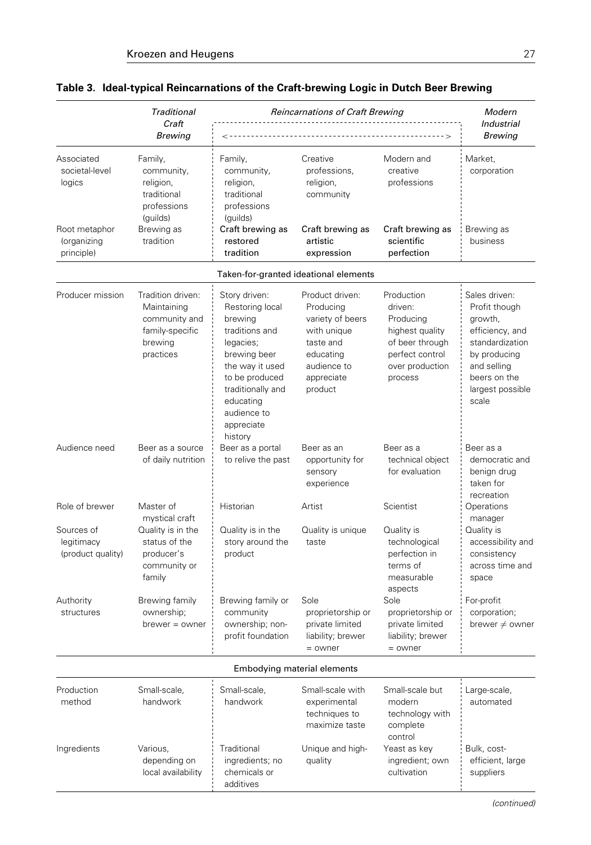|                                               | Traditional<br>Craft                                                                         | Reincarnations of Craft Brewing                                                                                                                                                                           |                                                                                                                                   | Modern                                                                                                                    |                                                                                                                                                             |  |
|-----------------------------------------------|----------------------------------------------------------------------------------------------|-----------------------------------------------------------------------------------------------------------------------------------------------------------------------------------------------------------|-----------------------------------------------------------------------------------------------------------------------------------|---------------------------------------------------------------------------------------------------------------------------|-------------------------------------------------------------------------------------------------------------------------------------------------------------|--|
|                                               | Brewing                                                                                      |                                                                                                                                                                                                           |                                                                                                                                   |                                                                                                                           | <b>Industrial</b><br><b>Brewing</b>                                                                                                                         |  |
| Associated<br>societal-level<br>logics        | Family,<br>community,<br>religion,<br>traditional<br>professions<br>(guilds)                 | Family,<br>community,<br>religion,<br>traditional<br>professions<br>(quilds)                                                                                                                              | Creative<br>professions,<br>religion,<br>community                                                                                | Modern and<br>creative<br>professions                                                                                     | Market,<br>corporation                                                                                                                                      |  |
| Root metaphor<br>(organizing<br>principle)    | Brewing as<br>tradition                                                                      | Craft brewing as<br>restored<br>tradition                                                                                                                                                                 | Craft brewing as<br>artistic<br>expression                                                                                        | Craft brewing as<br>scientific<br>perfection                                                                              | Brewing as<br>business                                                                                                                                      |  |
|                                               |                                                                                              |                                                                                                                                                                                                           | Taken-for-granted ideational elements                                                                                             |                                                                                                                           |                                                                                                                                                             |  |
| Producer mission                              | Tradition driven:<br>Maintaining<br>community and<br>family-specific<br>brewing<br>practices | Story driven:<br>Restoring local<br>brewing<br>traditions and<br>legacies;<br>brewing beer<br>the way it used<br>to be produced<br>traditionally and<br>educating<br>audience to<br>appreciate<br>history | Product driven:<br>Producing<br>variety of beers<br>with unique<br>taste and<br>educating<br>audience to<br>appreciate<br>product | Production<br>driven:<br>Producing<br>highest quality<br>of beer through<br>perfect control<br>over production<br>process | Sales driven:<br>Profit though<br>growth,<br>efficiency, and<br>standardization<br>by producing<br>and selling<br>beers on the<br>largest possible<br>scale |  |
| Audience need                                 | Beer as a source<br>of daily nutrition                                                       | Beer as a portal<br>to relive the past                                                                                                                                                                    | Beer as an<br>opportunity for<br>sensory<br>experience                                                                            | Beer as a<br>technical object<br>for evaluation                                                                           | Beer as a<br>democratic and<br>benign drug<br>taken for<br>recreation                                                                                       |  |
| Role of brewer                                | Master of                                                                                    | Historian                                                                                                                                                                                                 | Artist                                                                                                                            | Scientist                                                                                                                 | Operations                                                                                                                                                  |  |
| Sources of<br>legitimacy<br>(product quality) | mystical craft<br>Quality is in the<br>status of the<br>producer's<br>community or<br>family | Quality is in the<br>story around the<br>product                                                                                                                                                          | Quality is unique<br>taste                                                                                                        | Quality is<br>technological<br>perfection in<br>terms of<br>measurable<br>aspects                                         | manager<br>Quality is<br>accessibility and<br>consistency<br>across time and<br>space                                                                       |  |
| Authority<br>structures                       | Brewing family<br>ownership;<br>brewer = owner                                               | Brewing family or<br>community<br>ownership; non-<br>profit foundation                                                                                                                                    | Sole<br>proprietorship or<br>private limited<br>liability; brewer<br>= owner                                                      | Sole<br>proprietorship or<br>private limited<br>liability; brewer<br>$=$ owner                                            | For-profit<br>corporation;<br>brewer $\neq$ owner                                                                                                           |  |
|                                               |                                                                                              |                                                                                                                                                                                                           | Embodying material elements                                                                                                       |                                                                                                                           |                                                                                                                                                             |  |
| Production<br>method                          | Small-scale,<br>handwork                                                                     | Small-scale,<br>handwork                                                                                                                                                                                  | Small-scale with<br>experimental<br>techniques to<br>maximize taste                                                               | Small-scale but<br>modern<br>technology with<br>complete<br>control                                                       | Large-scale,<br>automated                                                                                                                                   |  |
| Ingredients                                   | Various,<br>depending on<br>local availability                                               | Traditional<br>ingredients; no<br>chemicals or<br>additives                                                                                                                                               | Unique and high-<br>quality                                                                                                       | Yeast as key<br>ingredient; own<br>cultivation                                                                            | Bulk, cost-<br>efficient, large<br>suppliers                                                                                                                |  |

# Table 3. Ideal-typical Reincarnations of the Craft-brewing Logic in Dutch Beer Brewing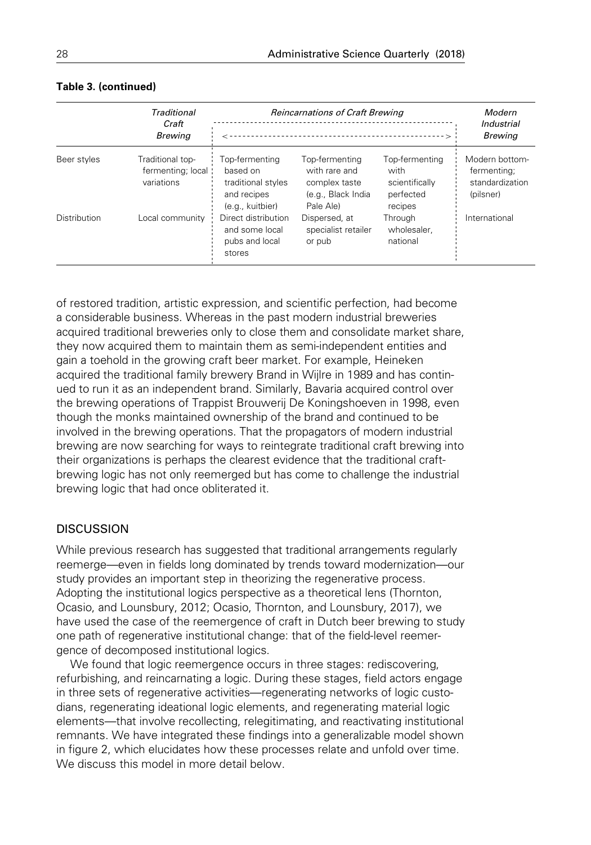|              | <b>Traditional</b><br>Craft                           | <b>Reincarnations of Craft Brewing</b>                                              |                                                                                     | Modern<br>Industrial<br><b>Brewing</b>                           |                                                               |
|--------------|-------------------------------------------------------|-------------------------------------------------------------------------------------|-------------------------------------------------------------------------------------|------------------------------------------------------------------|---------------------------------------------------------------|
|              | <b>Brewing</b>                                        |                                                                                     |                                                                                     |                                                                  |                                                               |
| Beer styles  | Traditional top-<br>fermenting; local ;<br>variations | Top-fermenting<br>based on<br>traditional styles<br>and recipes<br>(e.g., kuitbier) | Top-fermenting<br>with rare and<br>complex taste<br>(e.g., Black India<br>Pale Ale) | Top-fermenting<br>with<br>scientifically<br>perfected<br>recipes | Modern bottom-<br>fermenting;<br>standardization<br>(pilsner) |
| Distribution | Local community                                       | Direct distribution<br>and some local<br>pubs and local<br>stores                   | Dispersed, at<br>specialist retailer<br>or pub                                      | Through<br>wholesaler,<br>national                               | International                                                 |

# Table 3. (continued)

of restored tradition, artistic expression, and scientific perfection, had become a considerable business. Whereas in the past modern industrial breweries acquired traditional breweries only to close them and consolidate market share, they now acquired them to maintain them as semi-independent entities and gain a toehold in the growing craft beer market. For example, Heineken acquired the traditional family brewery Brand in Wijlre in 1989 and has continued to run it as an independent brand. Similarly, Bavaria acquired control over the brewing operations of Trappist Brouwerij De Koningshoeven in 1998, even though the monks maintained ownership of the brand and continued to be involved in the brewing operations. That the propagators of modern industrial brewing are now searching for ways to reintegrate traditional craft brewing into their organizations is perhaps the clearest evidence that the traditional craftbrewing logic has not only reemerged but has come to challenge the industrial brewing logic that had once obliterated it.

# **DISCUSSION**

While previous research has suggested that traditional arrangements regularly reemerge—even in fields long dominated by trends toward modernization—our study provides an important step in theorizing the regenerative process. Adopting the institutional logics perspective as a theoretical lens (Thornton, Ocasio, and Lounsbury, 2012; Ocasio, Thornton, and Lounsbury, 2017), we have used the case of the reemergence of craft in Dutch beer brewing to study one path of regenerative institutional change: that of the field-level reemergence of decomposed institutional logics.

We found that logic reemergence occurs in three stages: rediscovering, refurbishing, and reincarnating a logic. During these stages, field actors engage in three sets of regenerative activities—regenerating networks of logic custodians, regenerating ideational logic elements, and regenerating material logic elements—that involve recollecting, relegitimating, and reactivating institutional remnants. We have integrated these findings into a generalizable model shown in figure 2, which elucidates how these processes relate and unfold over time. We discuss this model in more detail below.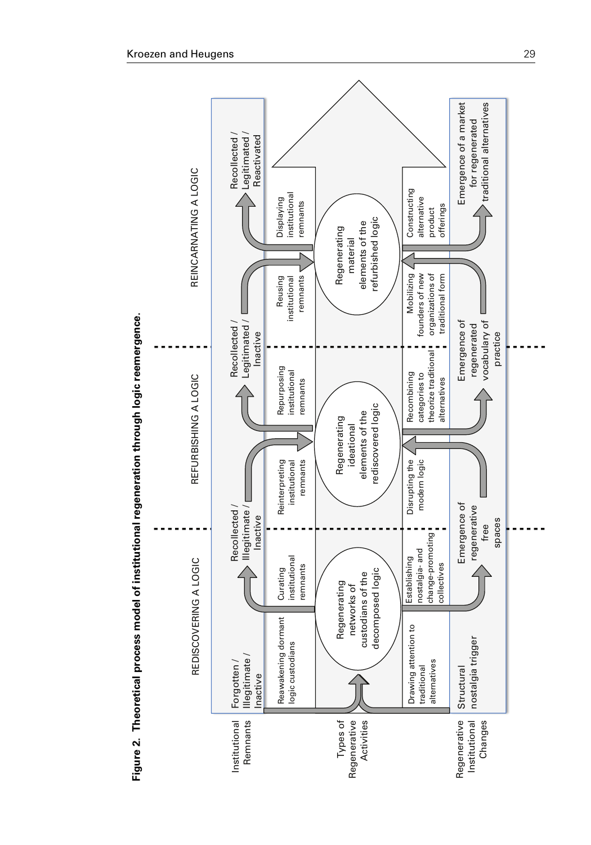

Figure 2. Theoretical process model of institutional regeneration through logic reemergence. Figure 2. Theoretical process model of institutional regeneration through logic reemergence.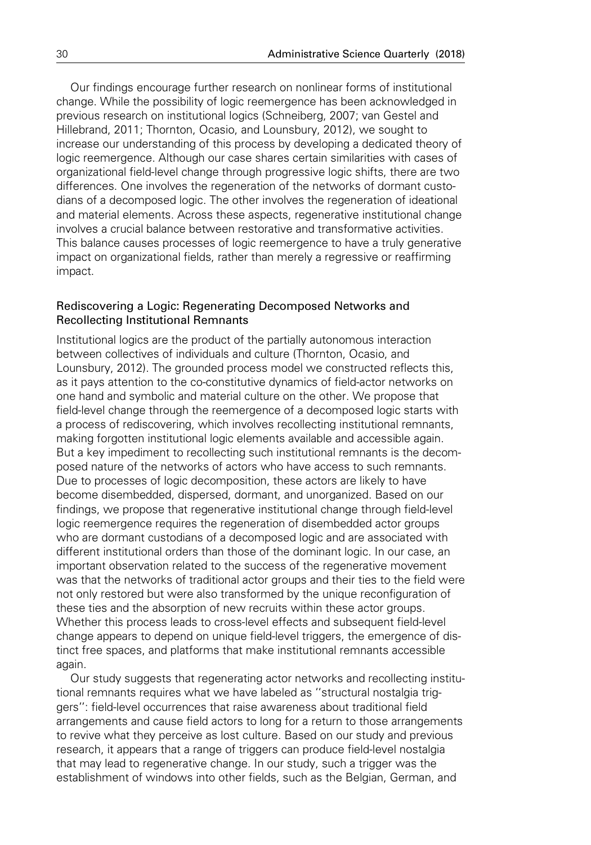Our findings encourage further research on nonlinear forms of institutional change. While the possibility of logic reemergence has been acknowledged in previous research on institutional logics (Schneiberg, 2007; van Gestel and Hillebrand, 2011; Thornton, Ocasio, and Lounsbury, 2012), we sought to increase our understanding of this process by developing a dedicated theory of logic reemergence. Although our case shares certain similarities with cases of organizational field-level change through progressive logic shifts, there are two differences. One involves the regeneration of the networks of dormant custodians of a decomposed logic. The other involves the regeneration of ideational and material elements. Across these aspects, regenerative institutional change involves a crucial balance between restorative and transformative activities. This balance causes processes of logic reemergence to have a truly generative impact on organizational fields, rather than merely a regressive or reaffirming impact.

# Rediscovering a Logic: Regenerating Decomposed Networks and Recollecting Institutional Remnants

Institutional logics are the product of the partially autonomous interaction between collectives of individuals and culture (Thornton, Ocasio, and Lounsbury, 2012). The grounded process model we constructed reflects this, as it pays attention to the co-constitutive dynamics of field-actor networks on one hand and symbolic and material culture on the other. We propose that field-level change through the reemergence of a decomposed logic starts with a process of rediscovering, which involves recollecting institutional remnants, making forgotten institutional logic elements available and accessible again. But a key impediment to recollecting such institutional remnants is the decomposed nature of the networks of actors who have access to such remnants. Due to processes of logic decomposition, these actors are likely to have become disembedded, dispersed, dormant, and unorganized. Based on our findings, we propose that regenerative institutional change through field-level logic reemergence requires the regeneration of disembedded actor groups who are dormant custodians of a decomposed logic and are associated with different institutional orders than those of the dominant logic. In our case, an important observation related to the success of the regenerative movement was that the networks of traditional actor groups and their ties to the field were not only restored but were also transformed by the unique reconfiguration of these ties and the absorption of new recruits within these actor groups. Whether this process leads to cross-level effects and subsequent field-level change appears to depend on unique field-level triggers, the emergence of distinct free spaces, and platforms that make institutional remnants accessible again.

Our study suggests that regenerating actor networks and recollecting institutional remnants requires what we have labeled as ''structural nostalgia triggers'': field-level occurrences that raise awareness about traditional field arrangements and cause field actors to long for a return to those arrangements to revive what they perceive as lost culture. Based on our study and previous research, it appears that a range of triggers can produce field-level nostalgia that may lead to regenerative change. In our study, such a trigger was the establishment of windows into other fields, such as the Belgian, German, and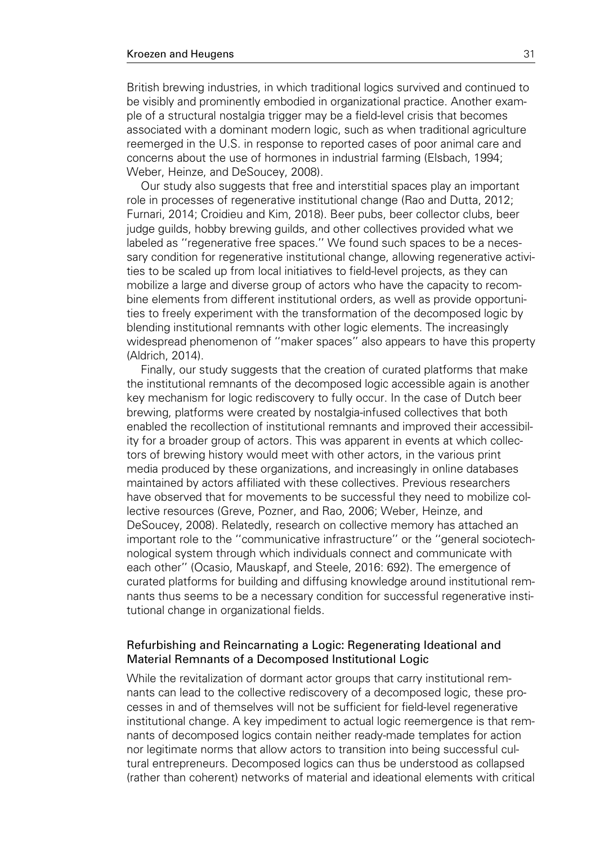British brewing industries, in which traditional logics survived and continued to be visibly and prominently embodied in organizational practice. Another example of a structural nostalgia trigger may be a field-level crisis that becomes associated with a dominant modern logic, such as when traditional agriculture reemerged in the U.S. in response to reported cases of poor animal care and concerns about the use of hormones in industrial farming (Elsbach, 1994; Weber, Heinze, and DeSoucey, 2008).

Our study also suggests that free and interstitial spaces play an important role in processes of regenerative institutional change (Rao and Dutta, 2012; Furnari, 2014; Croidieu and Kim, 2018). Beer pubs, beer collector clubs, beer judge guilds, hobby brewing guilds, and other collectives provided what we labeled as ''regenerative free spaces.'' We found such spaces to be a necessary condition for regenerative institutional change, allowing regenerative activities to be scaled up from local initiatives to field-level projects, as they can mobilize a large and diverse group of actors who have the capacity to recombine elements from different institutional orders, as well as provide opportunities to freely experiment with the transformation of the decomposed logic by blending institutional remnants with other logic elements. The increasingly widespread phenomenon of ''maker spaces'' also appears to have this property (Aldrich, 2014).

Finally, our study suggests that the creation of curated platforms that make the institutional remnants of the decomposed logic accessible again is another key mechanism for logic rediscovery to fully occur. In the case of Dutch beer brewing, platforms were created by nostalgia-infused collectives that both enabled the recollection of institutional remnants and improved their accessibility for a broader group of actors. This was apparent in events at which collectors of brewing history would meet with other actors, in the various print media produced by these organizations, and increasingly in online databases maintained by actors affiliated with these collectives. Previous researchers have observed that for movements to be successful they need to mobilize collective resources (Greve, Pozner, and Rao, 2006; Weber, Heinze, and DeSoucey, 2008). Relatedly, research on collective memory has attached an important role to the ''communicative infrastructure'' or the ''general sociotechnological system through which individuals connect and communicate with each other'' (Ocasio, Mauskapf, and Steele, 2016: 692). The emergence of curated platforms for building and diffusing knowledge around institutional remnants thus seems to be a necessary condition for successful regenerative institutional change in organizational fields.

# Refurbishing and Reincarnating a Logic: Regenerating Ideational and Material Remnants of a Decomposed Institutional Logic

While the revitalization of dormant actor groups that carry institutional remnants can lead to the collective rediscovery of a decomposed logic, these processes in and of themselves will not be sufficient for field-level regenerative institutional change. A key impediment to actual logic reemergence is that remnants of decomposed logics contain neither ready-made templates for action nor legitimate norms that allow actors to transition into being successful cultural entrepreneurs. Decomposed logics can thus be understood as collapsed (rather than coherent) networks of material and ideational elements with critical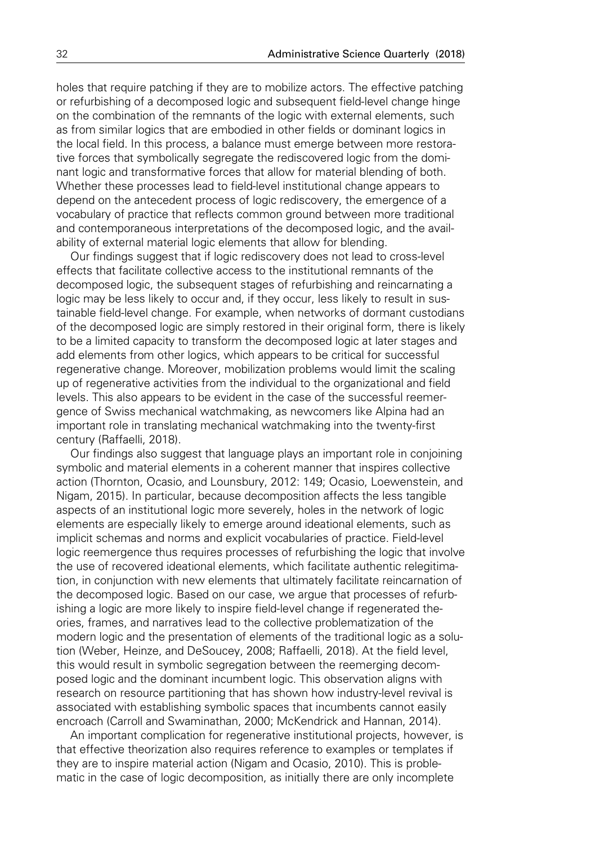holes that require patching if they are to mobilize actors. The effective patching or refurbishing of a decomposed logic and subsequent field-level change hinge on the combination of the remnants of the logic with external elements, such as from similar logics that are embodied in other fields or dominant logics in the local field. In this process, a balance must emerge between more restorative forces that symbolically segregate the rediscovered logic from the dominant logic and transformative forces that allow for material blending of both. Whether these processes lead to field-level institutional change appears to depend on the antecedent process of logic rediscovery, the emergence of a vocabulary of practice that reflects common ground between more traditional and contemporaneous interpretations of the decomposed logic, and the availability of external material logic elements that allow for blending.

Our findings suggest that if logic rediscovery does not lead to cross-level effects that facilitate collective access to the institutional remnants of the decomposed logic, the subsequent stages of refurbishing and reincarnating a logic may be less likely to occur and, if they occur, less likely to result in sustainable field-level change. For example, when networks of dormant custodians of the decomposed logic are simply restored in their original form, there is likely to be a limited capacity to transform the decomposed logic at later stages and add elements from other logics, which appears to be critical for successful regenerative change. Moreover, mobilization problems would limit the scaling up of regenerative activities from the individual to the organizational and field levels. This also appears to be evident in the case of the successful reemergence of Swiss mechanical watchmaking, as newcomers like Alpina had an important role in translating mechanical watchmaking into the twenty-first century (Raffaelli, 2018).

Our findings also suggest that language plays an important role in conjoining symbolic and material elements in a coherent manner that inspires collective action (Thornton, Ocasio, and Lounsbury, 2012: 149; Ocasio, Loewenstein, and Nigam, 2015). In particular, because decomposition affects the less tangible aspects of an institutional logic more severely, holes in the network of logic elements are especially likely to emerge around ideational elements, such as implicit schemas and norms and explicit vocabularies of practice. Field-level logic reemergence thus requires processes of refurbishing the logic that involve the use of recovered ideational elements, which facilitate authentic relegitimation, in conjunction with new elements that ultimately facilitate reincarnation of the decomposed logic. Based on our case, we argue that processes of refurbishing a logic are more likely to inspire field-level change if regenerated theories, frames, and narratives lead to the collective problematization of the modern logic and the presentation of elements of the traditional logic as a solution (Weber, Heinze, and DeSoucey, 2008; Raffaelli, 2018). At the field level, this would result in symbolic segregation between the reemerging decomposed logic and the dominant incumbent logic. This observation aligns with research on resource partitioning that has shown how industry-level revival is associated with establishing symbolic spaces that incumbents cannot easily encroach (Carroll and Swaminathan, 2000; McKendrick and Hannan, 2014).

An important complication for regenerative institutional projects, however, is that effective theorization also requires reference to examples or templates if they are to inspire material action (Nigam and Ocasio, 2010). This is problematic in the case of logic decomposition, as initially there are only incomplete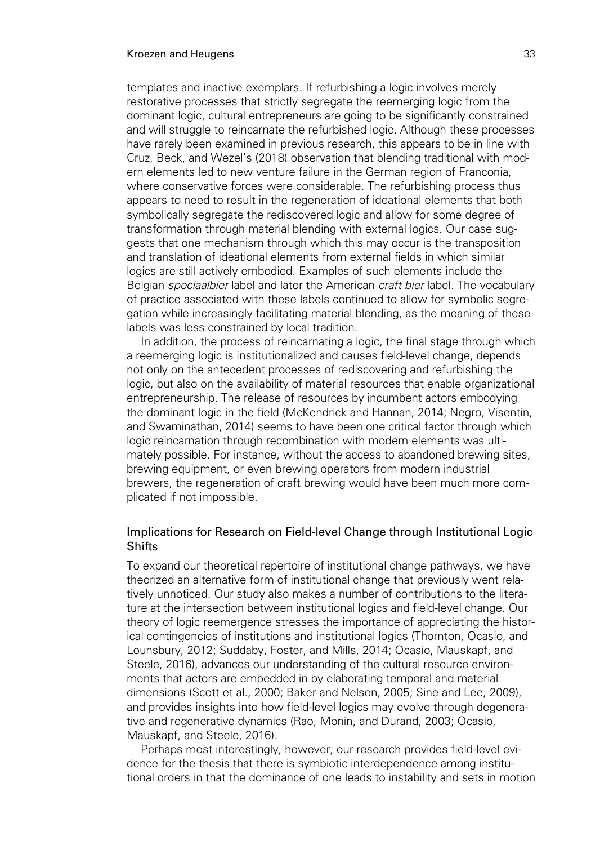templates and inactive exemplars. If refurbishing a logic involves merely restorative processes that strictly segregate the reemerging logic from the dominant logic, cultural entrepreneurs are going to be significantly constrained and will struggle to reincarnate the refurbished logic. Although these processes have rarely been examined in previous research, this appears to be in line with Cruz, Beck, and Wezel's (2018) observation that blending traditional with modern elements led to new venture failure in the German region of Franconia, where conservative forces were considerable. The refurbishing process thus appears to need to result in the regeneration of ideational elements that both symbolically segregate the rediscovered logic and allow for some degree of transformation through material blending with external logics. Our case suggests that one mechanism through which this may occur is the transposition and translation of ideational elements from external fields in which similar logics are still actively embodied. Examples of such elements include the Belgian *speciaalbier* label and later the American *craft bier* label. The vocabulary of practice associated with these labels continued to allow for symbolic segregation while increasingly facilitating material blending, as the meaning of these labels was less constrained by local tradition.

In addition, the process of reincarnating a logic, the final stage through which a reemerging logic is institutionalized and causes field-level change, depends not only on the antecedent processes of rediscovering and refurbishing the logic, but also on the availability of material resources that enable organizational entrepreneurship. The release of resources by incumbent actors embodying the dominant logic in the field (McKendrick and Hannan, 2014; Negro, Visentin, and Swaminathan, 2014) seems to have been one critical factor through which logic reincarnation through recombination with modern elements was ultimately possible. For instance, without the access to abandoned brewing sites, brewing equipment, or even brewing operators from modern industrial brewers, the regeneration of craft brewing would have been much more complicated if not impossible.

# Implications for Research on Field-level Change through Institutional Logic **Shifts**

To expand our theoretical repertoire of institutional change pathways, we have theorized an alternative form of institutional change that previously went relatively unnoticed. Our study also makes a number of contributions to the literature at the intersection between institutional logics and field-level change. Our theory of logic reemergence stresses the importance of appreciating the historical contingencies of institutions and institutional logics (Thornton, Ocasio, and Lounsbury, 2012; Suddaby, Foster, and Mills, 2014; Ocasio, Mauskapf, and Steele, 2016), advances our understanding of the cultural resource environments that actors are embedded in by elaborating temporal and material dimensions (Scott et al., 2000; Baker and Nelson, 2005; Sine and Lee, 2009), and provides insights into how field-level logics may evolve through degenerative and regenerative dynamics (Rao, Monin, and Durand, 2003; Ocasio, Mauskapf, and Steele, 2016).

Perhaps most interestingly, however, our research provides field-level evidence for the thesis that there is symbiotic interdependence among institutional orders in that the dominance of one leads to instability and sets in motion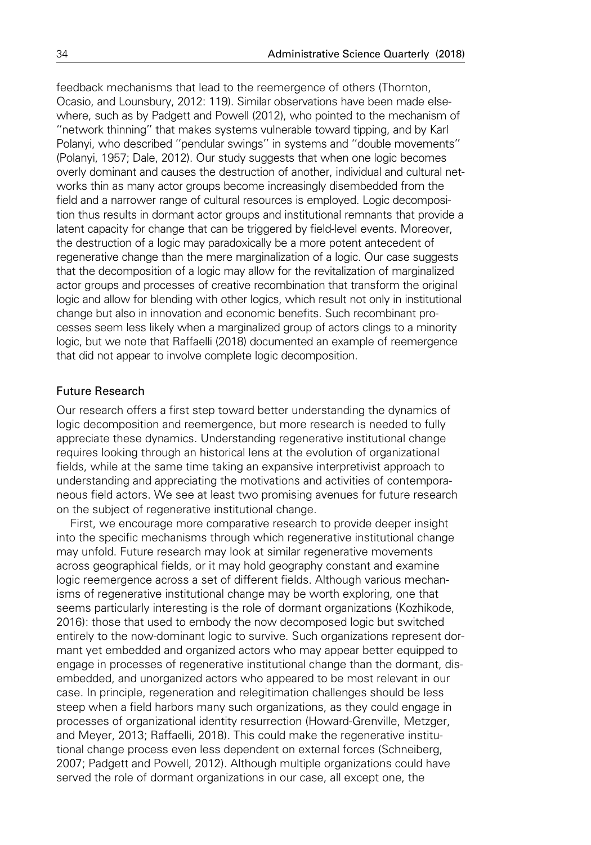feedback mechanisms that lead to the reemergence of others (Thornton, Ocasio, and Lounsbury, 2012: 119). Similar observations have been made elsewhere, such as by Padgett and Powell (2012), who pointed to the mechanism of ''network thinning'' that makes systems vulnerable toward tipping, and by Karl Polanyi, who described ''pendular swings'' in systems and ''double movements'' (Polanyi, 1957; Dale, 2012). Our study suggests that when one logic becomes overly dominant and causes the destruction of another, individual and cultural networks thin as many actor groups become increasingly disembedded from the field and a narrower range of cultural resources is employed. Logic decomposition thus results in dormant actor groups and institutional remnants that provide a latent capacity for change that can be triggered by field-level events. Moreover, the destruction of a logic may paradoxically be a more potent antecedent of regenerative change than the mere marginalization of a logic. Our case suggests that the decomposition of a logic may allow for the revitalization of marginalized actor groups and processes of creative recombination that transform the original logic and allow for blending with other logics, which result not only in institutional change but also in innovation and economic benefits. Such recombinant processes seem less likely when a marginalized group of actors clings to a minority logic, but we note that Raffaelli (2018) documented an example of reemergence that did not appear to involve complete logic decomposition.

# Future Research

Our research offers a first step toward better understanding the dynamics of logic decomposition and reemergence, but more research is needed to fully appreciate these dynamics. Understanding regenerative institutional change requires looking through an historical lens at the evolution of organizational fields, while at the same time taking an expansive interpretivist approach to understanding and appreciating the motivations and activities of contemporaneous field actors. We see at least two promising avenues for future research on the subject of regenerative institutional change.

First, we encourage more comparative research to provide deeper insight into the specific mechanisms through which regenerative institutional change may unfold. Future research may look at similar regenerative movements across geographical fields, or it may hold geography constant and examine logic reemergence across a set of different fields. Although various mechanisms of regenerative institutional change may be worth exploring, one that seems particularly interesting is the role of dormant organizations (Kozhikode, 2016): those that used to embody the now decomposed logic but switched entirely to the now-dominant logic to survive. Such organizations represent dormant yet embedded and organized actors who may appear better equipped to engage in processes of regenerative institutional change than the dormant, disembedded, and unorganized actors who appeared to be most relevant in our case. In principle, regeneration and relegitimation challenges should be less steep when a field harbors many such organizations, as they could engage in processes of organizational identity resurrection (Howard-Grenville, Metzger, and Meyer, 2013; Raffaelli, 2018). This could make the regenerative institutional change process even less dependent on external forces (Schneiberg, 2007; Padgett and Powell, 2012). Although multiple organizations could have served the role of dormant organizations in our case, all except one, the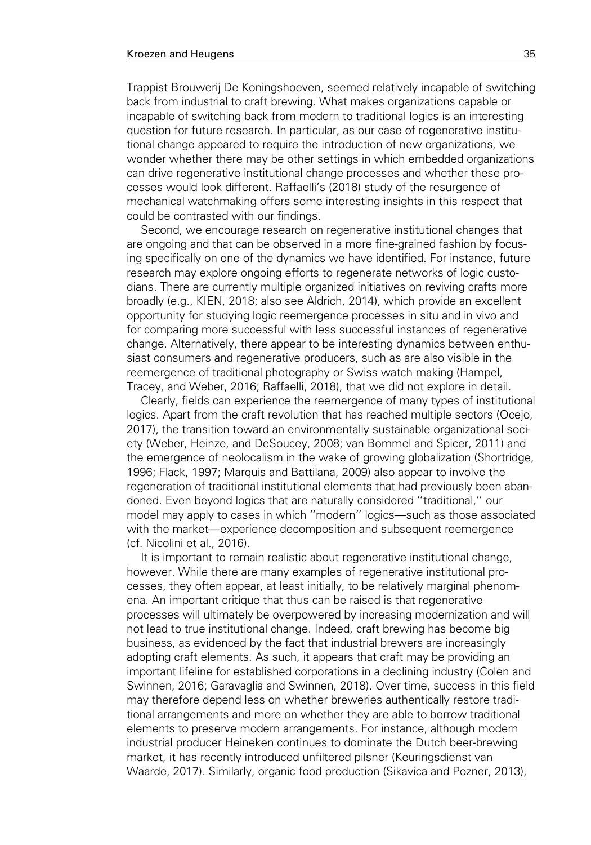Trappist Brouwerij De Koningshoeven, seemed relatively incapable of switching back from industrial to craft brewing. What makes organizations capable or incapable of switching back from modern to traditional logics is an interesting question for future research. In particular, as our case of regenerative institutional change appeared to require the introduction of new organizations, we wonder whether there may be other settings in which embedded organizations can drive regenerative institutional change processes and whether these processes would look different. Raffaelli's (2018) study of the resurgence of mechanical watchmaking offers some interesting insights in this respect that could be contrasted with our findings.

Second, we encourage research on regenerative institutional changes that are ongoing and that can be observed in a more fine-grained fashion by focusing specifically on one of the dynamics we have identified. For instance, future research may explore ongoing efforts to regenerate networks of logic custodians. There are currently multiple organized initiatives on reviving crafts more broadly (e.g., KIEN, 2018; also see Aldrich, 2014), which provide an excellent opportunity for studying logic reemergence processes in situ and in vivo and for comparing more successful with less successful instances of regenerative change. Alternatively, there appear to be interesting dynamics between enthusiast consumers and regenerative producers, such as are also visible in the reemergence of traditional photography or Swiss watch making (Hampel, Tracey, and Weber, 2016; Raffaelli, 2018), that we did not explore in detail.

Clearly, fields can experience the reemergence of many types of institutional logics. Apart from the craft revolution that has reached multiple sectors (Ocejo, 2017), the transition toward an environmentally sustainable organizational society (Weber, Heinze, and DeSoucey, 2008; van Bommel and Spicer, 2011) and the emergence of neolocalism in the wake of growing globalization (Shortridge, 1996; Flack, 1997; Marquis and Battilana, 2009) also appear to involve the regeneration of traditional institutional elements that had previously been abandoned. Even beyond logics that are naturally considered ''traditional,'' our model may apply to cases in which ''modern'' logics—such as those associated with the market—experience decomposition and subsequent reemergence (cf. Nicolini et al., 2016).

It is important to remain realistic about regenerative institutional change, however. While there are many examples of regenerative institutional processes, they often appear, at least initially, to be relatively marginal phenomena. An important critique that thus can be raised is that regenerative processes will ultimately be overpowered by increasing modernization and will not lead to true institutional change. Indeed, craft brewing has become big business, as evidenced by the fact that industrial brewers are increasingly adopting craft elements. As such, it appears that craft may be providing an important lifeline for established corporations in a declining industry (Colen and Swinnen, 2016; Garavaglia and Swinnen, 2018). Over time, success in this field may therefore depend less on whether breweries authentically restore traditional arrangements and more on whether they are able to borrow traditional elements to preserve modern arrangements. For instance, although modern industrial producer Heineken continues to dominate the Dutch beer-brewing market, it has recently introduced unfiltered pilsner (Keuringsdienst van Waarde, 2017). Similarly, organic food production (Sikavica and Pozner, 2013),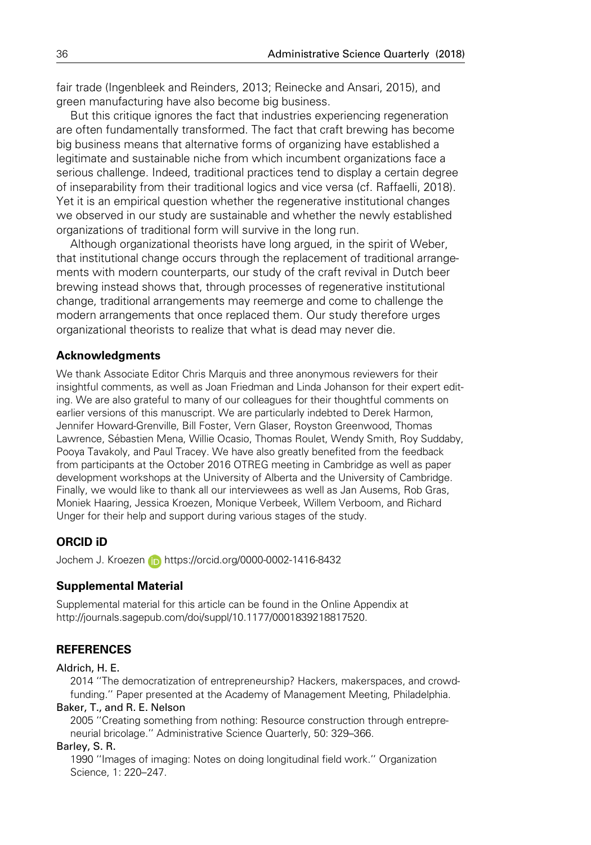fair trade (Ingenbleek and Reinders, 2013; Reinecke and Ansari, 2015), and green manufacturing have also become big business.

But this critique ignores the fact that industries experiencing regeneration are often fundamentally transformed. The fact that craft brewing has become big business means that alternative forms of organizing have established a legitimate and sustainable niche from which incumbent organizations face a serious challenge. Indeed, traditional practices tend to display a certain degree of inseparability from their traditional logics and vice versa (cf. Raffaelli, 2018). Yet it is an empirical question whether the regenerative institutional changes we observed in our study are sustainable and whether the newly established organizations of traditional form will survive in the long run.

Although organizational theorists have long argued, in the spirit of Weber, that institutional change occurs through the replacement of traditional arrangements with modern counterparts, our study of the craft revival in Dutch beer brewing instead shows that, through processes of regenerative institutional change, traditional arrangements may reemerge and come to challenge the modern arrangements that once replaced them. Our study therefore urges organizational theorists to realize that what is dead may never die.

# Acknowledgments

We thank Associate Editor Chris Marquis and three anonymous reviewers for their insightful comments, as well as Joan Friedman and Linda Johanson for their expert editing. We are also grateful to many of our colleagues for their thoughtful comments on earlier versions of this manuscript. We are particularly indebted to Derek Harmon, Jennifer Howard-Grenville, Bill Foster, Vern Glaser, Royston Greenwood, Thomas Lawrence, Sébastien Mena, Willie Ocasio, Thomas Roulet, Wendy Smith, Roy Suddaby, Pooya Tavakoly, and Paul Tracey. We have also greatly benefited from the feedback from participants at the October 2016 OTREG meeting in Cambridge as well as paper development workshops at the University of Alberta and the University of Cambridge. Finally, we would like to thank all our interviewees as well as Jan Ausems, Rob Gras, Moniek Haaring, Jessica Kroezen, Monique Verbeek, Willem Verboom, and Richard Unger for their help and support during various stages of the study.

# ORCID iD

Jochem J. Kroezen **in** <https://orcid.org/0000-0002-1416-8432>

# Supplemental Material

Supplemental material for this article can be found in the Online Appendix at [http://journals.sagepub.com/doi/suppl/10.1177/0001839218817520.](http://journals.sagepub.com/doi/suppl/10.1177/xxxxxxxxxxxxxxxx)

# **REFERENCES**

# Aldrich, H. E.

2014 ''The democratization of entrepreneurship? Hackers, makerspaces, and crowdfunding.'' Paper presented at the Academy of Management Meeting, Philadelphia.

### Baker, T., and R. E. Nelson

2005 ''Creating something from nothing: Resource construction through entrepreneurial bricolage.'' Administrative Science Quarterly, 50: 329–366.

### Barley, S. R.

1990 ''Images of imaging: Notes on doing longitudinal field work.'' Organization Science, 1: 220–247.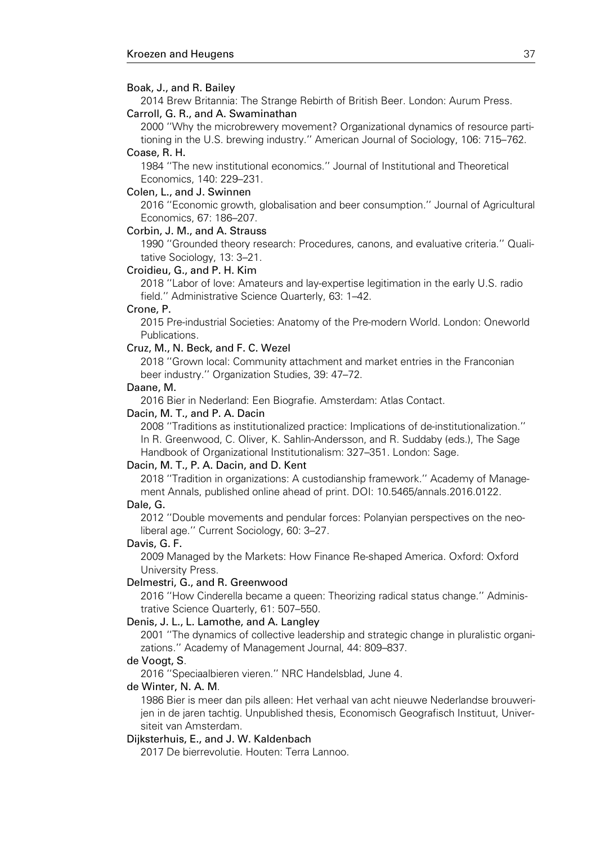### Boak, J., and R. Bailey

2014 Brew Britannia: The Strange Rebirth of British Beer. London: Aurum Press. Carroll, G. R., and A. Swaminathan

2000 ''Why the microbrewery movement? Organizational dynamics of resource partitioning in the U.S. brewing industry.'' American Journal of Sociology, 106: 715–762. Coase, R. H.

# 1984 ''The new institutional economics.'' Journal of Institutional and Theoretical Economics, 140: 229–231.

## Colen, L., and J. Swinnen

2016 ''Economic growth, globalisation and beer consumption.'' Journal of Agricultural Economics, 67: 186–207.

### Corbin, J. M., and A. Strauss

1990 ''Grounded theory research: Procedures, canons, and evaluative criteria.'' Qualitative Sociology, 13: 3–21.

### Croidieu, G., and P. H. Kim

2018 ''Labor of love: Amateurs and lay-expertise legitimation in the early U.S. radio field.'' Administrative Science Quarterly, 63: 1–42.

#### Crone, P.

2015 Pre-industrial Societies: Anatomy of the Pre-modern World. London: Oneworld Publications.

## Cruz, M., N. Beck, and F. C. Wezel

2018 ''Grown local: Community attachment and market entries in the Franconian beer industry.'' Organization Studies, 39: 47–72.

### Daane, M.

2016 Bier in Nederland: Een Biografie. Amsterdam: Atlas Contact.

### Dacin, M. T., and P. A. Dacin

2008 ''Traditions as institutionalized practice: Implications of de-institutionalization.'' In R. Greenwood, C. Oliver, K. Sahlin-Andersson, and R. Suddaby (eds.), The Sage Handbook of Organizational Institutionalism: 327–351. London: Sage.

### Dacin, M. T., P. A. Dacin, and D. Kent

2018 ''Tradition in organizations: A custodianship framework.'' Academy of Management Annals, published online ahead of print. DOI: 10.5465/annals.2016.0122.

# Dale, G.

2012 ''Double movements and pendular forces: Polanyian perspectives on the neoliberal age.'' Current Sociology, 60: 3–27.

### Davis, G. F.

2009 Managed by the Markets: How Finance Re-shaped America. Oxford: Oxford University Press.

### Delmestri, G., and R. Greenwood

2016 ''How Cinderella became a queen: Theorizing radical status change.'' Administrative Science Quarterly, 61: 507–550.

### Denis, J. L., L. Lamothe, and A. Langley

2001 ''The dynamics of collective leadership and strategic change in pluralistic organizations.'' Academy of Management Journal, 44: 809–837.

### de Voogt, S.

2016 ''Speciaalbieren vieren.'' NRC Handelsblad, June 4.

### de Winter, N. A. M.

1986 Bier is meer dan pils alleen: Het verhaal van acht nieuwe Nederlandse brouwerijen in de jaren tachtig. Unpublished thesis, Economisch Geografisch Instituut, Universiteit van Amsterdam.

### Dijksterhuis, E., and J. W. Kaldenbach

2017 De bierrevolutie. Houten: Terra Lannoo.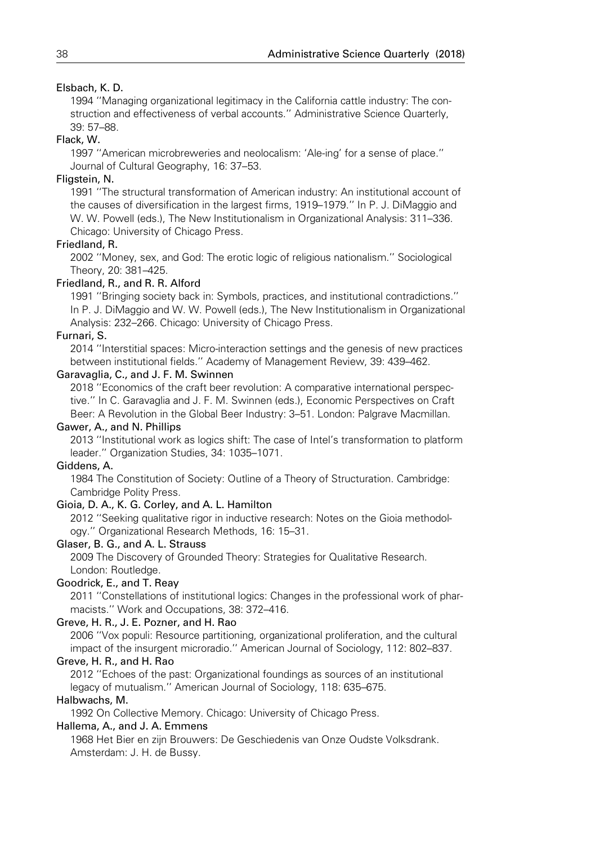# Elsbach, K. D.

1994 ''Managing organizational legitimacy in the California cattle industry: The construction and effectiveness of verbal accounts.'' Administrative Science Quarterly, 39: 57–88.

# Flack, W.

1997 ''American microbreweries and neolocalism: 'Ale-ing' for a sense of place.'' Journal of Cultural Geography, 16: 37–53.

# Fligstein, N.

1991 ''The structural transformation of American industry: An institutional account of the causes of diversification in the largest firms, 1919–1979.'' In P. J. DiMaggio and W. W. Powell (eds.), The New Institutionalism in Organizational Analysis: 311–336. Chicago: University of Chicago Press.

# Friedland, R.

2002 ''Money, sex, and God: The erotic logic of religious nationalism.'' Sociological Theory, 20: 381–425.

# Friedland, R., and R. R. Alford

1991 ''Bringing society back in: Symbols, practices, and institutional contradictions.'' In P. J. DiMaggio and W. W. Powell (eds.), The New Institutionalism in Organizational Analysis: 232–266. Chicago: University of Chicago Press.

# Furnari, S.

2014 ''Interstitial spaces: Micro-interaction settings and the genesis of new practices between institutional fields.'' Academy of Management Review, 39: 439–462.

# Garavaglia, C., and J. F. M. Swinnen

2018 ''Economics of the craft beer revolution: A comparative international perspective.'' In C. Garavaglia and J. F. M. Swinnen (eds.), Economic Perspectives on Craft Beer: A Revolution in the Global Beer Industry: 3–51. London: Palgrave Macmillan.

# Gawer, A., and N. Phillips

2013 ''Institutional work as logics shift: The case of Intel's transformation to platform leader.'' Organization Studies, 34: 1035–1071.

# Giddens, A.

1984 The Constitution of Society: Outline of a Theory of Structuration. Cambridge: Cambridge Polity Press.

# Gioia, D. A., K. G. Corley, and A. L. Hamilton

2012 ''Seeking qualitative rigor in inductive research: Notes on the Gioia methodology.'' Organizational Research Methods, 16: 15–31.

# Glaser, B. G., and A. L. Strauss

2009 The Discovery of Grounded Theory: Strategies for Qualitative Research. London: Routledge.

# Goodrick, E., and T. Reay

2011 ''Constellations of institutional logics: Changes in the professional work of pharmacists.'' Work and Occupations, 38: 372–416.

# Greve, H. R., J. E. Pozner, and H. Rao

2006 ''Vox populi: Resource partitioning, organizational proliferation, and the cultural impact of the insurgent microradio.'' American Journal of Sociology, 112: 802–837.

# Greve, H. R., and H. Rao

2012 ''Echoes of the past: Organizational foundings as sources of an institutional legacy of mutualism.'' American Journal of Sociology, 118: 635–675.

# Halbwachs, M.

1992 On Collective Memory. Chicago: University of Chicago Press.

# Hallema, A., and J. A. Emmens

1968 Het Bier en zijn Brouwers: De Geschiedenis van Onze Oudste Volksdrank. Amsterdam: J. H. de Bussy.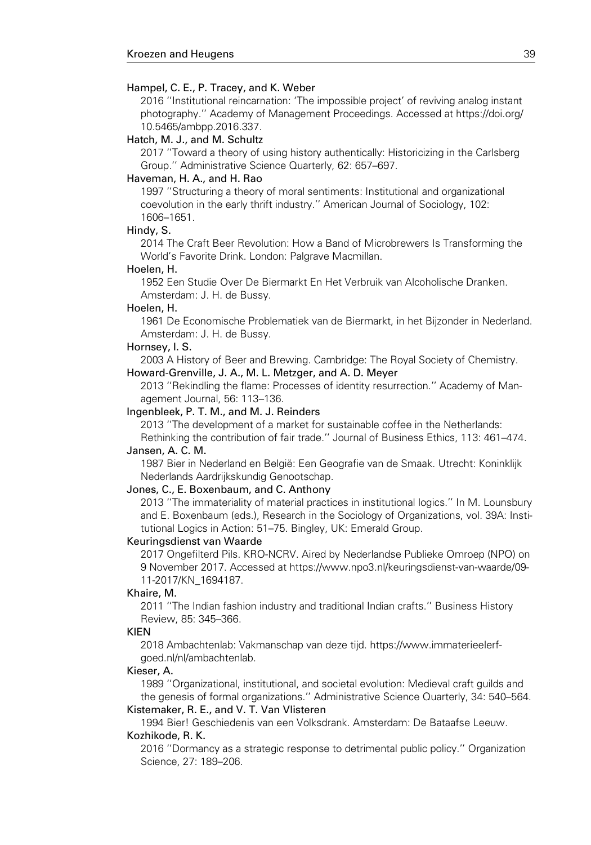### Hampel, C. E., P. Tracey, and K. Weber

2016 ''Institutional reincarnation: 'The impossible project' of reviving analog instant photography.'' Academy of Management Proceedings. Accessed at [https://doi.org/](https://doi.org/10.5465/ambpp.2016.337) [10.5465/ambpp.2016.337](https://doi.org/10.5465/ambpp.2016.337).

### Hatch, M. J., and M. Schultz

2017 ''Toward a theory of using history authentically: Historicizing in the Carlsberg Group.'' Administrative Science Quarterly, 62: 657–697.

### Haveman, H. A., and H. Rao

1997 ''Structuring a theory of moral sentiments: Institutional and organizational coevolution in the early thrift industry.'' American Journal of Sociology, 102: 1606–1651.

### Hindy, S.

2014 The Craft Beer Revolution: How a Band of Microbrewers Is Transforming the World's Favorite Drink. London: Palgrave Macmillan.

#### Hoelen, H.

1952 Een Studie Over De Biermarkt En Het Verbruik van Alcoholische Dranken. Amsterdam: J. H. de Bussy.

### Hoelen, H.

1961 De Economische Problematiek van de Biermarkt, in het Bijzonder in Nederland. Amsterdam: J. H. de Bussy.

### Hornsey, I. S.

2003 A History of Beer and Brewing. Cambridge: The Royal Society of Chemistry. Howard-Grenville, J. A., M. L. Metzger, and A. D. Meyer

2013 ''Rekindling the flame: Processes of identity resurrection.'' Academy of Management Journal, 56: 113–136.

### Ingenbleek, P. T. M., and M. J. Reinders

2013 ''The development of a market for sustainable coffee in the Netherlands:

Rethinking the contribution of fair trade.'' Journal of Business Ethics, 113: 461–474. Jansen, A. C. M.

1987 Bier in Nederland en Belgie¨: Een Geografie van de Smaak. Utrecht: Koninklijk Nederlands Aardrijkskundig Genootschap.

### Jones, C., E. Boxenbaum, and C. Anthony

2013 ''The immateriality of material practices in institutional logics.'' In M. Lounsbury and E. Boxenbaum (eds.), Research in the Sociology of Organizations, vol. 39A: Institutional Logics in Action: 51–75. Bingley, UK: Emerald Group.

### Keuringsdienst van Waarde

2017 Ongefilterd Pils. KRO-NCRV. Aired by Nederlandse Publieke Omroep (NPO) on 9 November 2017. Accessed at [https://www.npo3.nl/keuringsdienst-van-waarde/09-](https://www.npo3.nl/keuringsdienst-van-waarde/09-11-2017/KN_1694187) [11-2017/KN\\_1694187](https://www.npo3.nl/keuringsdienst-van-waarde/09-11-2017/KN_1694187).

#### Khaire, M.

2011 ''The Indian fashion industry and traditional Indian crafts.'' Business History Review, 85: 345–366.

# KIEN

2018 Ambachtenlab: Vakmanschap van deze tijd. [https://www.immaterieelerf](https://www.immaterieelerfgoed.nl/nl/ambachtenlab)[goed.nl/nl/ambachtenlab.](https://www.immaterieelerfgoed.nl/nl/ambachtenlab)

# Kieser, A.

1989 ''Organizational, institutional, and societal evolution: Medieval craft guilds and the genesis of formal organizations.'' Administrative Science Quarterly, 34: 540–564. Kistemaker, R. E., and V. T. Van Vlisteren

1994 Bier! Geschiedenis van een Volksdrank. Amsterdam: De Bataafse Leeuw. Kozhikode, R. K.

2016 ''Dormancy as a strategic response to detrimental public policy.'' Organization Science, 27: 189–206.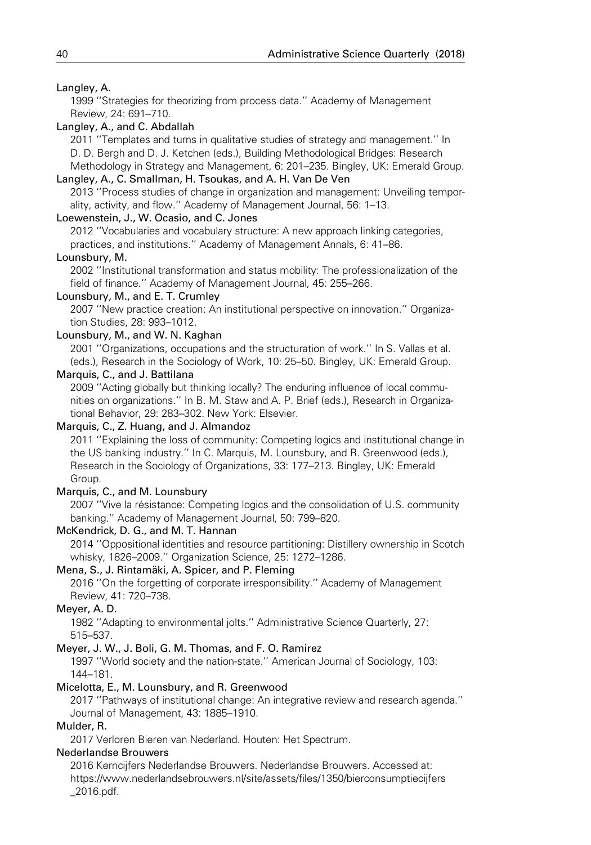# Langley, A.

1999 ''Strategies for theorizing from process data.'' Academy of Management Review, 24: 691–710.

### Langley, A., and C. Abdallah

2011 ''Templates and turns in qualitative studies of strategy and management.'' In D. D. Bergh and D. J. Ketchen (eds.), Building Methodological Bridges: Research Methodology in Strategy and Management, 6: 201–235. Bingley, UK: Emerald Group.

# Langley, A., C. Smallman, H. Tsoukas, and A. H. Van De Ven

2013 ''Process studies of change in organization and management: Unveiling temporality, activity, and flow.'' Academy of Management Journal, 56: 1–13.

# Loewenstein, J., W. Ocasio, and C. Jones

2012 ''Vocabularies and vocabulary structure: A new approach linking categories, practices, and institutions.'' Academy of Management Annals, 6: 41–86.

# Lounsbury, M.

2002 ''Institutional transformation and status mobility: The professionalization of the field of finance.'' Academy of Management Journal, 45: 255–266.

### Lounsbury, M., and E. T. Crumley

2007 ''New practice creation: An institutional perspective on innovation.'' Organization Studies, 28: 993–1012.

### Lounsbury, M., and W. N. Kaghan

2001 ''Organizations, occupations and the structuration of work.'' In S. Vallas et al.

(eds.), Research in the Sociology of Work, 10: 25–50. Bingley, UK: Emerald Group.

# Marquis, C., and J. Battilana

2009 ''Acting globally but thinking locally? The enduring influence of local communities on organizations.'' In B. M. Staw and A. P. Brief (eds.), Research in Organizational Behavior, 29: 283–302. New York: Elsevier.

# Marquis, C., Z. Huang, and J. Almandoz

2011 ''Explaining the loss of community: Competing logics and institutional change in the US banking industry.'' In C. Marquis, M. Lounsbury, and R. Greenwood (eds.), Research in the Sociology of Organizations, 33: 177–213. Bingley, UK: Emerald Group.

# Marquis, C., and M. Lounsbury

2007 "Vive la résistance: Competing logics and the consolidation of U.S. community banking.'' Academy of Management Journal, 50: 799–820.

# McKendrick, D. G., and M. T. Hannan

2014 ''Oppositional identities and resource partitioning: Distillery ownership in Scotch whisky, 1826–2009.'' Organization Science, 25: 1272–1286.

# Mena, S., J. Rintamäki, A. Spicer, and P. Fleming

2016 ''On the forgetting of corporate irresponsibility.'' Academy of Management Review, 41: 720–738.

# Meyer, A. D.

1982 ''Adapting to environmental jolts.'' Administrative Science Quarterly, 27: 515–537.

# Meyer, J. W., J. Boli, G. M. Thomas, and F. O. Ramirez

1997 ''World society and the nation-state.'' American Journal of Sociology, 103: 144–181.

# Micelotta, E., M. Lounsbury, and R. Greenwood

2017 ''Pathways of institutional change: An integrative review and research agenda.'' Journal of Management, 43: 1885–1910.

# Mulder, R.

2017 Verloren Bieren van Nederland. Houten: Het Spectrum.

# Nederlandse Brouwers

2016 Kerncijfers Nederlandse Brouwers. Nederlandse Brouwers. Accessed at: [https://www.nederlandsebrouwers.nl/site/assets/files/1350/bierconsumptiecijfers](https://www.nederlandsebrouwers.nl/site/assets/files/1350/bierconsumptiecijfers_2016.pdf) [\\_2016.pdf](https://www.nederlandsebrouwers.nl/site/assets/files/1350/bierconsumptiecijfers_2016.pdf).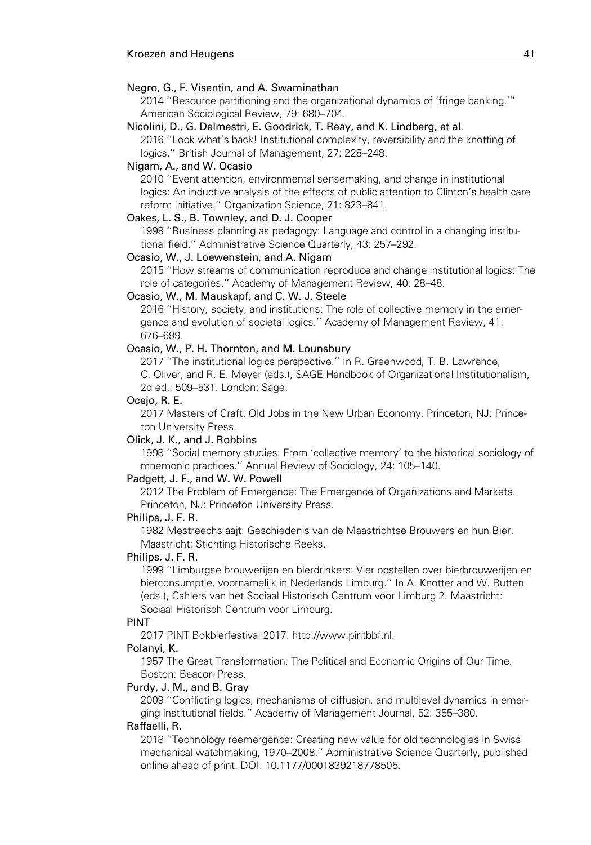# Negro, G., F. Visentin, and A. Swaminathan

2014 ''Resource partitioning and the organizational dynamics of 'fringe banking.''' American Sociological Review, 79: 680–704.

### Nicolini, D., G. Delmestri, E. Goodrick, T. Reay, and K. Lindberg, et al.

2016 ''Look what's back! Institutional complexity, reversibility and the knotting of logics.'' British Journal of Management, 27: 228–248.

### Nigam, A., and W. Ocasio

2010 ''Event attention, environmental sensemaking, and change in institutional logics: An inductive analysis of the effects of public attention to Clinton's health care reform initiative.'' Organization Science, 21: 823–841.

### Oakes, L. S., B. Townley, and D. J. Cooper

1998 ''Business planning as pedagogy: Language and control in a changing institutional field.'' Administrative Science Quarterly, 43: 257–292.

### Ocasio, W., J. Loewenstein, and A. Nigam

2015 ''How streams of communication reproduce and change institutional logics: The role of categories.'' Academy of Management Review, 40: 28–48.

#### Ocasio, W., M. Mauskapf, and C. W. J. Steele

2016 ''History, society, and institutions: The role of collective memory in the emergence and evolution of societal logics.'' Academy of Management Review, 41: 676–699.

### Ocasio, W., P. H. Thornton, and M. Lounsbury

2017 ''The institutional logics perspective.'' In R. Greenwood, T. B. Lawrence, C. Oliver, and R. E. Meyer (eds.), SAGE Handbook of Organizational Institutionalism, 2d ed.: 509–531. London: Sage.

### Ocejo, R. E.

2017 Masters of Craft: Old Jobs in the New Urban Economy. Princeton, NJ: Princeton University Press.

### Olick, J. K., and J. Robbins

1998 ''Social memory studies: From 'collective memory' to the historical sociology of mnemonic practices.'' Annual Review of Sociology, 24: 105–140.

### Padgett, J. F., and W. W. Powell

2012 The Problem of Emergence: The Emergence of Organizations and Markets. Princeton, NJ: Princeton University Press.

### Philips, J. F. R.

1982 Mestreechs aajt: Geschiedenis van de Maastrichtse Brouwers en hun Bier. Maastricht: Stichting Historische Reeks.

### Philips, J. F. R.

1999 ''Limburgse brouwerijen en bierdrinkers: Vier opstellen over bierbrouwerijen en bierconsumptie, voornamelijk in Nederlands Limburg.'' In A. Knotter and W. Rutten (eds.), Cahiers van het Sociaal Historisch Centrum voor Limburg 2. Maastricht: Sociaal Historisch Centrum voor Limburg.

#### PINT

2017 PINT Bokbierfestival 2017.<http://www.pintbbf.nl>.

### Polanyi, K.

1957 The Great Transformation: The Political and Economic Origins of Our Time. Boston: Beacon Press.

### Purdy, J. M., and B. Gray

2009 ''Conflicting logics, mechanisms of diffusion, and multilevel dynamics in emerging institutional fields.'' Academy of Management Journal, 52: 355–380.

# Raffaelli, R.

2018 ''Technology reemergence: Creating new value for old technologies in Swiss mechanical watchmaking, 1970–2008.'' Administrative Science Quarterly, published online ahead of print. DOI: 10.1177/0001839218778505.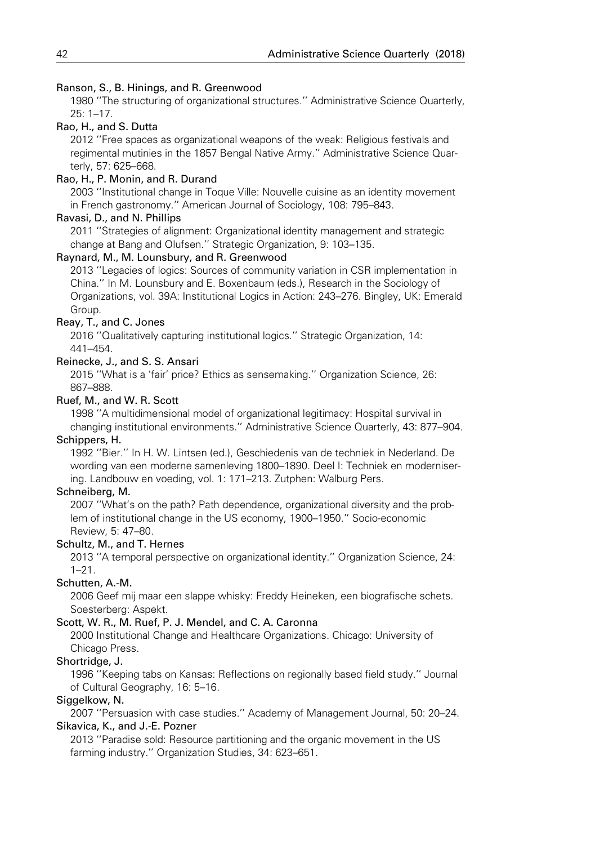# Ranson, S., B. Hinings, and R. Greenwood

1980 ''The structuring of organizational structures.'' Administrative Science Quarterly, 25: 1–17.

# Rao, H., and S. Dutta

2012 ''Free spaces as organizational weapons of the weak: Religious festivals and regimental mutinies in the 1857 Bengal Native Army.'' Administrative Science Quarterly, 57: 625–668.

# Rao, H., P. Monin, and R. Durand

2003 ''Institutional change in Toque Ville: Nouvelle cuisine as an identity movement in French gastronomy.'' American Journal of Sociology, 108: 795–843.

# Ravasi, D., and N. Phillips

2011 ''Strategies of alignment: Organizational identity management and strategic change at Bang and Olufsen.'' Strategic Organization, 9: 103–135.

# Raynard, M., M. Lounsbury, and R. Greenwood

2013 ''Legacies of logics: Sources of community variation in CSR implementation in China.'' In M. Lounsbury and E. Boxenbaum (eds.), Research in the Sociology of Organizations, vol. 39A: Institutional Logics in Action: 243–276. Bingley, UK: Emerald Group.

# Reay, T., and C. Jones

2016 ''Qualitatively capturing institutional logics.'' Strategic Organization, 14: 441–454.

# Reinecke, J., and S. S. Ansari

2015 ''What is a 'fair' price? Ethics as sensemaking.'' Organization Science, 26: 867–888.

# Ruef, M., and W. R. Scott

1998 ''A multidimensional model of organizational legitimacy: Hospital survival in changing institutional environments.'' Administrative Science Quarterly, 43: 877–904.

# Schippers, H.

1992 ''Bier.'' In H. W. Lintsen (ed.), Geschiedenis van de techniek in Nederland. De wording van een moderne samenleving 1800–1890. Deel I: Techniek en modernisering. Landbouw en voeding, vol. 1: 171–213. Zutphen: Walburg Pers.

# Schneiberg, M.

2007 ''What's on the path? Path dependence, organizational diversity and the problem of institutional change in the US economy, 1900–1950.'' Socio-economic Review, 5: 47–80.

# Schultz, M., and T. Hernes

2013 ''A temporal perspective on organizational identity.'' Organization Science, 24:  $1 - 21$ .

# Schutten, A.-M.

2006 Geef mij maar een slappe whisky: Freddy Heineken, een biografische schets. Soesterberg: Aspekt.

# Scott, W. R., M. Ruef, P. J. Mendel, and C. A. Caronna

2000 Institutional Change and Healthcare Organizations. Chicago: University of Chicago Press.

# Shortridge, J.

1996 ''Keeping tabs on Kansas: Reflections on regionally based field study.'' Journal of Cultural Geography, 16: 5–16.

# Siggelkow, N.

2007 ''Persuasion with case studies.'' Academy of Management Journal, 50: 20–24. Sikavica, K., and J.-E. Pozner

2013 ''Paradise sold: Resource partitioning and the organic movement in the US farming industry.'' Organization Studies, 34: 623–651.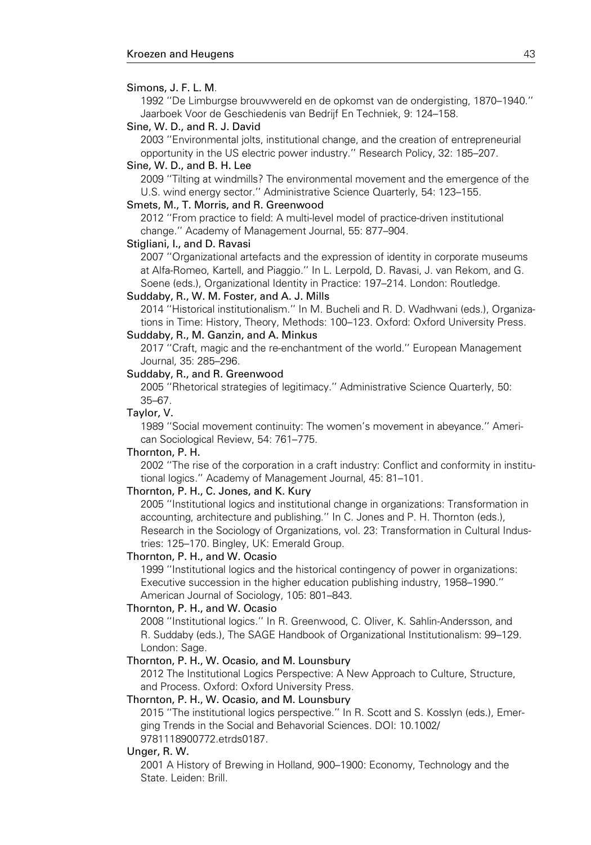### Simons, J. F. L. M.

1992 ''De Limburgse brouwwereld en de opkomst van de ondergisting, 1870–1940.'' Jaarboek Voor de Geschiedenis van Bedrijf En Techniek, 9: 124–158.

### Sine, W. D., and R. J. David

2003 ''Environmental jolts, institutional change, and the creation of entrepreneurial opportunity in the US electric power industry.'' Research Policy, 32: 185–207.

#### Sine, W. D., and B. H. Lee

2009 ''Tilting at windmills? The environmental movement and the emergence of the U.S. wind energy sector.'' Administrative Science Quarterly, 54: 123–155.

#### Smets, M., T. Morris, and R. Greenwood

2012 ''From practice to field: A multi-level model of practice-driven institutional change.'' Academy of Management Journal, 55: 877–904.

### Stigliani, I., and D. Ravasi

2007 ''Organizational artefacts and the expression of identity in corporate museums at Alfa-Romeo, Kartell, and Piaggio.'' In L. Lerpold, D. Ravasi, J. van Rekom, and G. Soene (eds.), Organizational Identity in Practice: 197–214. London: Routledge.

#### Suddaby, R., W. M. Foster, and A. J. Mills

2014 ''Historical institutionalism.'' In M. Bucheli and R. D. Wadhwani (eds.), Organizations in Time: History, Theory, Methods: 100–123. Oxford: Oxford University Press.

# Suddaby, R., M. Ganzin, and A. Minkus

2017 ''Craft, magic and the re-enchantment of the world.'' European Management Journal, 35: 285–296.

### Suddaby, R., and R. Greenwood

2005 ''Rhetorical strategies of legitimacy.'' Administrative Science Quarterly, 50: 35–67.

#### Taylor, V.

1989 ''Social movement continuity: The women's movement in abeyance.'' American Sociological Review, 54: 761–775.

# Thornton, P. H.

2002 ''The rise of the corporation in a craft industry: Conflict and conformity in institutional logics.'' Academy of Management Journal, 45: 81–101.

# Thornton, P. H., C. Jones, and K. Kury

2005 ''Institutional logics and institutional change in organizations: Transformation in accounting, architecture and publishing.'' In C. Jones and P. H. Thornton (eds.), Research in the Sociology of Organizations, vol. 23: Transformation in Cultural Industries: 125–170. Bingley, UK: Emerald Group.

### Thornton, P. H., and W. Ocasio

1999 ''Institutional logics and the historical contingency of power in organizations: Executive succession in the higher education publishing industry, 1958–1990.'' American Journal of Sociology, 105: 801–843.

#### Thornton, P. H., and W. Ocasio

2008 ''Institutional logics.'' In R. Greenwood, C. Oliver, K. Sahlin-Andersson, and R. Suddaby (eds.), The SAGE Handbook of Organizational Institutionalism: 99–129. London: Sage.

# Thornton, P. H., W. Ocasio, and M. Lounsbury

2012 The Institutional Logics Perspective: A New Approach to Culture, Structure, and Process. Oxford: Oxford University Press.

### Thornton, P. H., W. Ocasio, and M. Lounsbury

2015 ''The institutional logics perspective.'' In R. Scott and S. Kosslyn (eds.), Emerging Trends in the Social and Behavorial Sciences. DOI: 10.1002/ 9781118900772.etrds0187.

#### Unger, R. W.

2001 A History of Brewing in Holland, 900–1900: Economy, Technology and the State. Leiden: Brill.